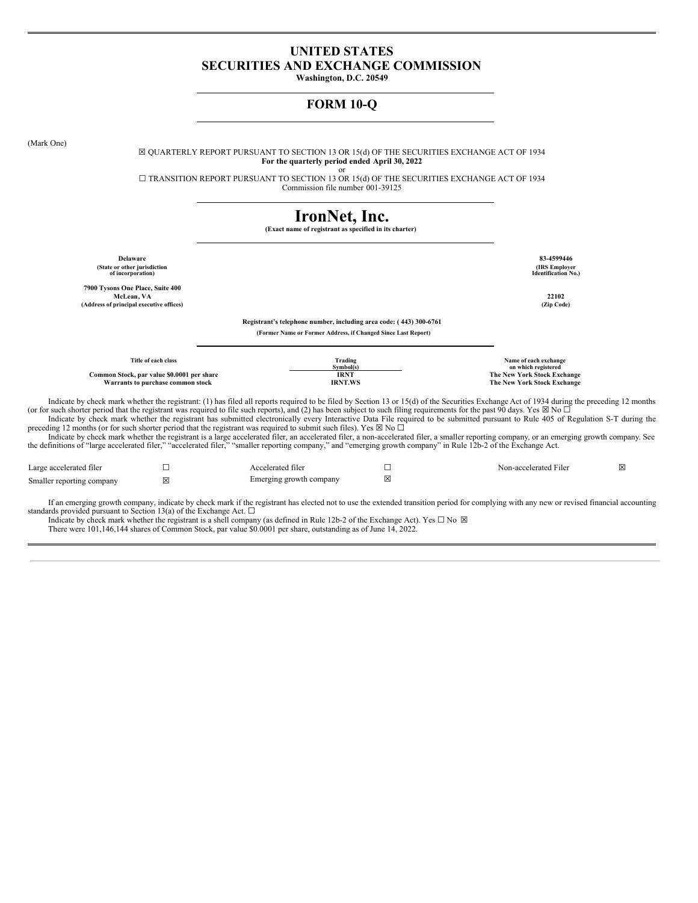## **UNITED STATES SECURITIES AND EXCHANGE COMMISSION**

**Washington, D.C. 20549**

## **FORM 10-Q**

(Mark One)

☒ QUARTERLY REPORT PURSUANT TO SECTION 13 OR 15(d) OF THE SECURITIES EXCHANGE ACT OF 1934 **For the quarterly period ended April 30, 2022**

or or µO TRANSITION REPORT PURSUANT TO SECTION 13 OR 15(d) OF THE SECURITIES EXCHANGE ACT OF 1934

# **IronNet, Inc. (Exact name of registrant as specified in its charter)**

| <b>Delaware</b><br>(State or other jurisdiction<br>of incorporation)                       |                                                                                 |                                                                                                                                      |   | 83-4599446<br>(IRS Employer<br><b>Identification No.)</b>                                                                                                                                                                                                                                                                                                                                                                                                                                                                                                                                                                                                                                                                                                                                                                                                                                                                                     |
|--------------------------------------------------------------------------------------------|---------------------------------------------------------------------------------|--------------------------------------------------------------------------------------------------------------------------------------|---|-----------------------------------------------------------------------------------------------------------------------------------------------------------------------------------------------------------------------------------------------------------------------------------------------------------------------------------------------------------------------------------------------------------------------------------------------------------------------------------------------------------------------------------------------------------------------------------------------------------------------------------------------------------------------------------------------------------------------------------------------------------------------------------------------------------------------------------------------------------------------------------------------------------------------------------------------|
| 7900 Tysons One Place, Suite 400<br>McLean, VA<br>(Address of principal executive offices) |                                                                                 |                                                                                                                                      |   | 22102<br>(Zip Code)                                                                                                                                                                                                                                                                                                                                                                                                                                                                                                                                                                                                                                                                                                                                                                                                                                                                                                                           |
|                                                                                            |                                                                                 | Registrant's telephone number, including area code: (443) 300-6761<br>(Former Name or Former Address, if Changed Since Last Report)  |   |                                                                                                                                                                                                                                                                                                                                                                                                                                                                                                                                                                                                                                                                                                                                                                                                                                                                                                                                               |
|                                                                                            | Title of each class                                                             | Trading<br>Symbol(s)                                                                                                                 |   | Name of each exchange<br>on which registered                                                                                                                                                                                                                                                                                                                                                                                                                                                                                                                                                                                                                                                                                                                                                                                                                                                                                                  |
|                                                                                            | Common Stock, par value \$0.0001 per share<br>Warrants to purchase common stock | <b>IRNT</b><br><b>IRNT.WS</b>                                                                                                        |   | The New York Stock Exchange<br><b>The New York Stock Exchange</b>                                                                                                                                                                                                                                                                                                                                                                                                                                                                                                                                                                                                                                                                                                                                                                                                                                                                             |
|                                                                                            |                                                                                 | preceding 12 months (or for such shorter period that the registrant was required to submit such files). Yes $\boxtimes$ No $\square$ |   | Indicate by check mark whether the registrant: (1) has filed all reports required to be filed by Section 13 or 15(d) of the Securities Exchange Act of 1934 during the preceding 12 months<br>(or for such shorter period that the registrant was required to file such reports), and (2) has been subject to such filing requirements for the past 90 days. Yes $\boxtimes$ No $\Box$<br>Indicate by check mark whether the registrant has submitted electronically every Interactive Data File required to be submitted pursuant to Rule 405 of Regulation S-T during the<br>Indicate by check mark whether the registrant is a large accelerated filer, an accelerated filer, a non-accelerated filer, a smaller reporting company, or an emerging growth company. See<br>the definitions of "large accelerated filer," "accelerated filer," "smaller reporting company," and "emerging growth company" in Rule 12b-2 of the Exchange Act. |
| Large accelerated filer                                                                    |                                                                                 | Accelerated filer                                                                                                                    | □ | ⊠<br>Non-accelerated Filer                                                                                                                                                                                                                                                                                                                                                                                                                                                                                                                                                                                                                                                                                                                                                                                                                                                                                                                    |

| rat ge<br>.<br>$\sim$                 |   | пнег                 | . гисі | $\sim$ |
|---------------------------------------|---|----------------------|--------|--------|
| $\sim$<br>Smalle<br>reporting company | R | rging growth company |        |        |
|                                       |   |                      |        |        |

If an emerging growth company, indicate by check mark if the registrant has elected not to use the extended transition period for complying with any new or revised financial accounting standards provided pursuant to Section 13(a) of the Exchange Act.  $\square$ 

Indicate by check mark whether the registrant is a shell company (as defined in Rule 12b-2 of the Exchange Act). Yes  $\Box$  No  $\boxtimes$ There were 101,146,144 shares of Common Stock, par value \$0.0001 per share, outstanding as of June 14, 2022.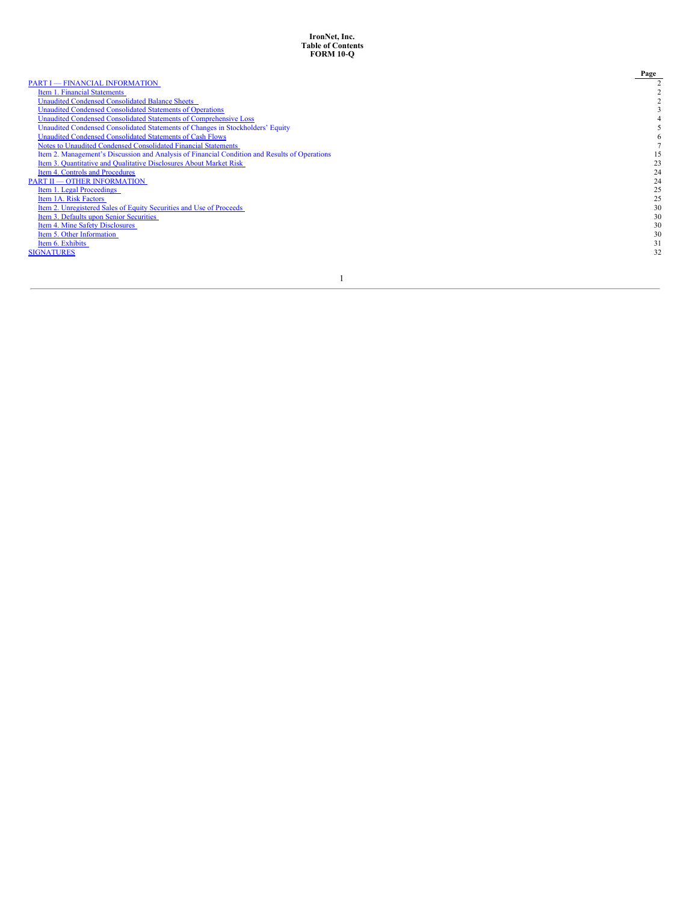1

**P a g e**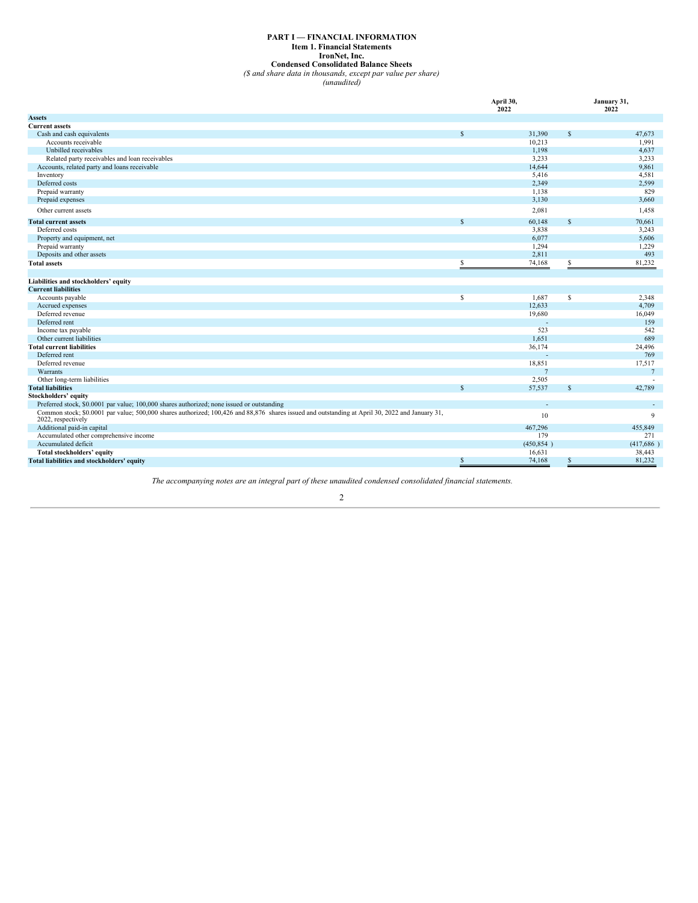# **PART I — FINANCIAL INFORMATION Item 1. Financial Statements<br>
IronNet, Inc.**<br> **Condensed Consolidated Balance Sheets**<br>
(*S and share data in thousands, except par value per share)*<br>
(*unaudited*)

<span id="page-2-2"></span><span id="page-2-1"></span><span id="page-2-0"></span>

|                                                                                                                                                                       |                         | April 30,<br>2022 |                         | January 31,<br>2022 |
|-----------------------------------------------------------------------------------------------------------------------------------------------------------------------|-------------------------|-------------------|-------------------------|---------------------|
| <b>Assets</b>                                                                                                                                                         |                         |                   |                         |                     |
| <b>Current assets</b>                                                                                                                                                 |                         |                   |                         |                     |
| Cash and cash equivalents                                                                                                                                             | $\mathbf S$             | 31,390            | $\mathbb{S}$            | 47,673              |
| Accounts receivable                                                                                                                                                   |                         | 10,213            |                         | 1,991               |
| Unbilled receivables                                                                                                                                                  |                         | 1,198             |                         | 4,637               |
| Related party receivables and loan receivables                                                                                                                        |                         | 3,233             |                         | 3,233               |
| Accounts, related party and loans receivable                                                                                                                          |                         | 14,644            |                         | 9,861               |
| Inventory                                                                                                                                                             |                         | 5,416             |                         | 4,581               |
| Deferred costs                                                                                                                                                        |                         | 2,349             |                         | 2,599               |
| Prepaid warranty                                                                                                                                                      |                         | 1,138             |                         | 829                 |
| Prepaid expenses                                                                                                                                                      |                         | 3,130             |                         | 3,660               |
| Other current assets                                                                                                                                                  |                         | 2,081             |                         | 1,458               |
| <b>Total current assets</b>                                                                                                                                           | $\mathbb{S}$            | 60,148            | $\mathbb{S}$            | 70,661              |
| Deferred costs                                                                                                                                                        |                         | 3,838             |                         | 3,243               |
| Property and equipment, net                                                                                                                                           |                         | 6,077             |                         | 5,606               |
| Prepaid warranty                                                                                                                                                      |                         | 1,294             |                         | 1,229               |
| Deposits and other assets                                                                                                                                             |                         | 2,811             |                         | 493                 |
| <b>Total assets</b>                                                                                                                                                   | \$                      | 74,168            | \$                      | 81,232              |
|                                                                                                                                                                       |                         |                   |                         |                     |
| Liabilities and stockholders' equity                                                                                                                                  |                         |                   |                         |                     |
| <b>Current liabilities</b>                                                                                                                                            |                         |                   |                         |                     |
| Accounts payable                                                                                                                                                      | $\overline{\mathbf{s}}$ | 1,687             | $\overline{\mathbf{s}}$ | 2,348               |
| Accrued expenses                                                                                                                                                      |                         | 12,633            |                         | 4,709               |
| Deferred revenue                                                                                                                                                      |                         | 19,680            |                         | 16,049              |
| Deferred rent                                                                                                                                                         |                         |                   |                         | 159                 |
| Income tax payable                                                                                                                                                    |                         | 523               |                         | 542                 |
| Other current liabilities                                                                                                                                             |                         | 1,651             |                         | 689                 |
| <b>Total current liabilities</b>                                                                                                                                      |                         | 36,174            |                         | 24,496              |
| Deferred rent                                                                                                                                                         |                         |                   |                         | 769                 |
| Deferred revenue                                                                                                                                                      |                         | 18,851            |                         | 17,517              |
| Warrants                                                                                                                                                              |                         | $7\overline{ }$   |                         | $7\phantom{.0}$     |
| Other long-term liabilities                                                                                                                                           |                         | 2,505             |                         |                     |
| <b>Total liabilities</b>                                                                                                                                              | <b>S</b>                | 57,537            | $\mathbb{S}$            | 42,789              |
| Stockholders' equity                                                                                                                                                  |                         |                   |                         |                     |
| Preferred stock, \$0.0001 par value; 100,000 shares authorized; none issued or outstanding                                                                            |                         | $\sim$            |                         |                     |
| Common stock; \$0.0001 par value; 500,000 shares authorized; 100,426 and 88,876 shares issued and outstanding at April 30, 2022 and January 31,<br>2022, respectively |                         | 10                |                         | 9                   |
| Additional paid-in capital                                                                                                                                            |                         | 467,296           |                         | 455,849             |
| Accumulated other comprehensive income                                                                                                                                |                         | 179               |                         | 271                 |
| Accumulated deficit                                                                                                                                                   |                         | (450, 854)        |                         | (417,686)           |
| <b>Total stockholders' equity</b>                                                                                                                                     |                         | 16,631            |                         | 38,443              |
| Total liabilities and stockholders' equity                                                                                                                            | $\mathbb{S}$            | 74,168            | $\mathbb{S}$            | 81,232              |

*The accompanying notes are an integral part of these unaudited condensed consolidated financial statements.*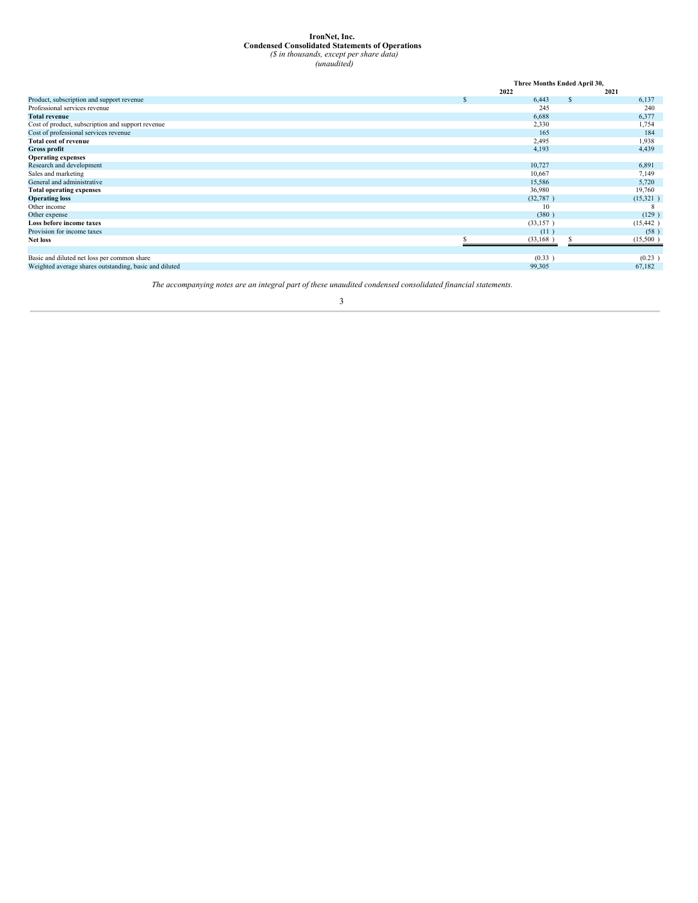## **IronNet, Inc. Condensed Consolidated Statements of Operations** *(\$ in thousands, except per share data)*

*(unaudited)*

<span id="page-3-0"></span>

|                                                        |   | Three Months Ended April 30, |    |           |  |
|--------------------------------------------------------|---|------------------------------|----|-----------|--|
|                                                        |   | 2022                         |    | 2021      |  |
| Product, subscription and support revenue              | S | 6,443                        | \$ | 6,137     |  |
| Professional services revenue                          |   | 245                          |    | 240       |  |
| <b>Total revenue</b>                                   |   | 6,688                        |    | 6,377     |  |
| Cost of product, subscription and support revenue      |   | 2,330                        |    | 1,754     |  |
| Cost of professional services revenue                  |   | 165                          |    | 184       |  |
| <b>Total cost of revenue</b>                           |   | 2,495                        |    | 1,938     |  |
| Gross profit                                           |   | 4,193                        |    | 4,439     |  |
| <b>Operating expenses</b>                              |   |                              |    |           |  |
| Research and development                               |   | 10,727                       |    | 6,891     |  |
| Sales and marketing                                    |   | 10,667                       |    | 7,149     |  |
| General and administrative                             |   | 15,586                       |    | 5,720     |  |
| <b>Total operating expenses</b>                        |   | 36,980                       |    | 19,760    |  |
| <b>Operating loss</b>                                  |   | (32, 787)                    |    | (15,321)  |  |
| Other income                                           |   | 10                           |    |           |  |
| Other expense                                          |   | (380)                        |    | (129)     |  |
| Loss before income taxes                               |   | (33, 157)                    |    | (15, 442) |  |
| Provision for income taxes                             |   | (11)                         |    | (58)      |  |
| <b>Net loss</b>                                        |   | (33, 168)                    |    | (15,500)  |  |
|                                                        |   |                              |    |           |  |
| Basic and diluted net loss per common share            |   | (0.33)                       |    | (0.23)    |  |
| Weighted average shares outstanding, basic and diluted |   | 99,305                       |    | 67,182    |  |
|                                                        |   |                              |    |           |  |

*The accompanying notes are an integral part of these unaudited condensed consolidated financial statements.*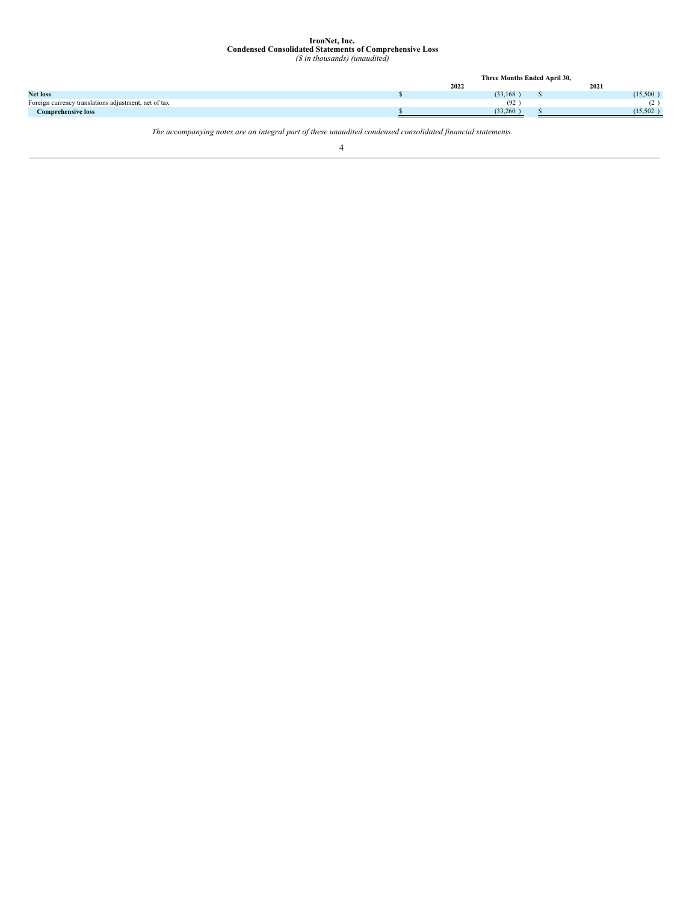## **IronNet, Inc. Condensed Consolidated Statements of Comprehensive Loss** *(\$ in thousands) (unaudited)*

<span id="page-4-0"></span>

|                                                      | Three Months Ended April 30. |  |           |  |  |
|------------------------------------------------------|------------------------------|--|-----------|--|--|
|                                                      | 2022                         |  | 2021      |  |  |
| Net loss                                             | (33, 168)                    |  | (15,500)  |  |  |
| Foreign currency translations adjustment, net of tax | (92)                         |  | ιz.       |  |  |
| <b>Comprehensive loss</b>                            | (33, 260)                    |  | (15, 502) |  |  |
|                                                      |                              |  |           |  |  |

*The accompanying notes are an integral part of these unaudited condensed consolidated financial statements.*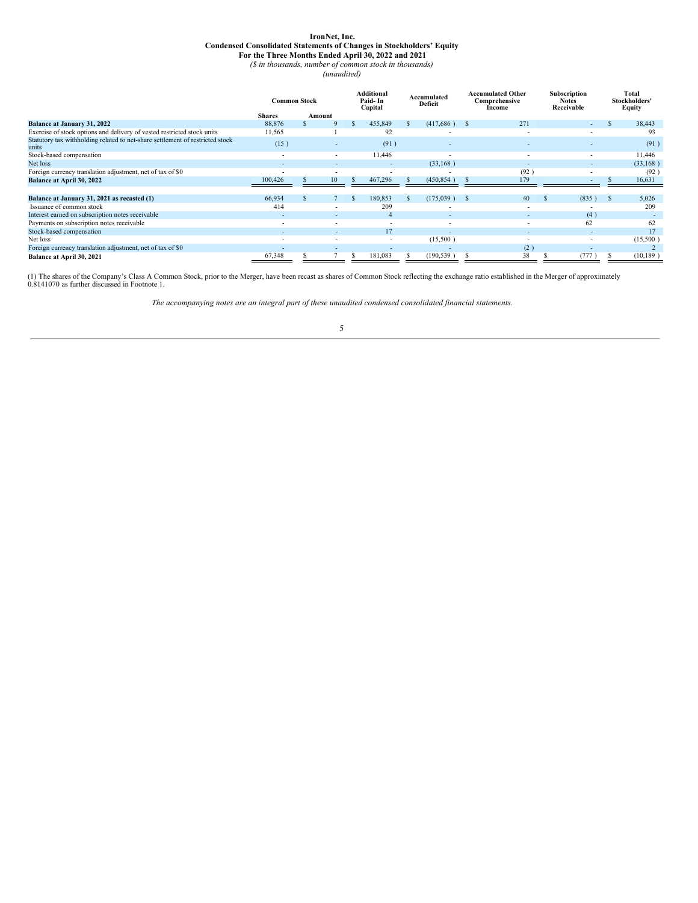## **IronNet, Inc. Condensed Consolidated Statements of Changes in Stockholders' Equity For the Three Months Ended April 30, 2022 and 2021**

*(\$ in thousands, number of common stock in thousands)*

*(unaudited)*

|                                                                                        | <b>Common Stock</b>      |                          | <b>Additional</b><br>Paid-In<br>Capital | Accumulated<br>Deficit |      | <b>Accumulated Other</b><br>Comprehensive<br>Income | Subscription<br><b>Notes</b><br>Receivable | Total<br>Stockholders'<br><b>Equity</b> |
|----------------------------------------------------------------------------------------|--------------------------|--------------------------|-----------------------------------------|------------------------|------|-----------------------------------------------------|--------------------------------------------|-----------------------------------------|
|                                                                                        | <b>Shares</b>            | Amount                   |                                         |                        |      |                                                     |                                            |                                         |
| Balance at January 31, 2022                                                            | 88,876                   | $\mathbf Q$              | 455,849                                 | (417,686)              | - \$ | 271                                                 | $\sim$                                     | 38,443                                  |
| Exercise of stock options and delivery of vested restricted stock units                | 11,565                   |                          | 92                                      |                        |      |                                                     | $\overline{\phantom{0}}$                   | 93                                      |
| Statutory tax withholding related to net-share settlement of restricted stock<br>units | (15)                     | н.                       | (91)                                    |                        |      |                                                     | $\overline{\phantom{0}}$                   | (91)                                    |
| Stock-based compensation                                                               | $\overline{\phantom{a}}$ | $\overline{\phantom{a}}$ | 11,446                                  |                        |      |                                                     |                                            | 11,446                                  |
| Net loss                                                                               | $\overline{\phantom{a}}$ | ٠                        | ٠                                       | (33, 168)              |      | $\overline{\phantom{a}}$                            | $\overline{\phantom{a}}$                   | (33, 168)                               |
| Foreign currency translation adjustment, net of tax of \$0                             |                          |                          | -                                       |                        |      | (92)                                                | $\overline{\phantom{0}}$                   | (92)                                    |
| Balance at April 30, 2022                                                              | 100,426                  | 10                       | 467,296                                 | (450, 854)             |      | 179                                                 |                                            | 16,631                                  |
|                                                                                        |                          |                          |                                         |                        |      |                                                     |                                            |                                         |
| Balance at January 31, 2021 as recasted (1)                                            | 66,934                   |                          | 180,853                                 | (175,039)              | - \$ | 40                                                  | (835)                                      | 5,026                                   |
| Issuance of common stock                                                               | 414                      | $\overline{\phantom{0}}$ | 209                                     |                        |      |                                                     |                                            | 209                                     |
| Interest earned on subscription notes receivable                                       |                          |                          |                                         |                        |      |                                                     | (4)                                        |                                         |
| Payments on subscription notes receivable                                              |                          | -                        | $\overline{\phantom{0}}$                |                        |      | $\overline{\phantom{a}}$                            | 62                                         | 62                                      |
| Stock-based compensation                                                               | $\overline{\phantom{0}}$ |                          | 17                                      |                        |      | $\overline{\phantom{0}}$                            | $\overline{a}$                             | 17                                      |
| Net loss                                                                               | $\overline{\phantom{0}}$ |                          | $\overline{\phantom{0}}$                | (15,500)               |      | $\overline{\phantom{a}}$                            | $\overline{\phantom{a}}$                   | (15,500)                                |
| Foreign currency translation adjustment, net of tax of \$0                             |                          |                          |                                         |                        |      | (2)                                                 |                                            |                                         |
| Balance at April 30, 2021                                                              | 67,348                   |                          | 181,083                                 | (190, 539)             |      | 38                                                  | (777)                                      | (10, 189)                               |

(1) The shares of the Company's Class A Common Stock, prior to the Merger, have been recast as shares of Common Stock reflecting the exchange ratio established in the Merger of approximately 0.8141070 as further discussed

*The accompanying notes are an integral part of these unaudited condensed consolidated financial statements.*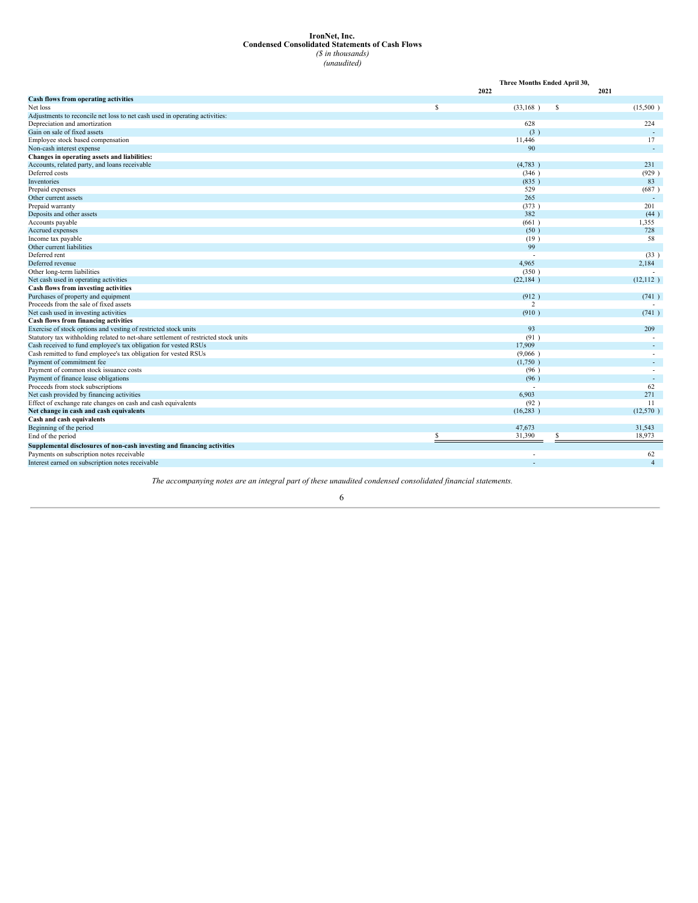# **IronNet, Inc. Condensed Consolidated Statements of Cash Flows** *(\$ in thousands)*

*(unaudited)*

<span id="page-6-0"></span>

|                                                                                     | Three Months Ended April 30, |                |  |  |
|-------------------------------------------------------------------------------------|------------------------------|----------------|--|--|
|                                                                                     | 2022                         | 2021           |  |  |
| Cash flows from operating activities                                                |                              |                |  |  |
| Net loss                                                                            | S<br>(33, 168)<br>S          | (15,500)       |  |  |
| Adjustments to reconcile net loss to net cash used in operating activities:         |                              |                |  |  |
| Depreciation and amortization                                                       | 628                          | 224            |  |  |
| Gain on sale of fixed assets                                                        | (3)                          | $\sim$         |  |  |
| Employee stock based compensation                                                   | 11,446                       | 17             |  |  |
| Non-cash interest expense                                                           | 90                           | $\sim$         |  |  |
| Changes in operating assets and liabilities:                                        |                              |                |  |  |
| Accounts, related party, and loans receivable                                       | (4,783)                      | 231            |  |  |
| Deferred costs                                                                      | (346)                        | (929)          |  |  |
| Inventories                                                                         | (835)                        | 83             |  |  |
| Prepaid expenses                                                                    | 529                          | (687)          |  |  |
| Other current assets                                                                | 265                          | $\sim$         |  |  |
| Prepaid warranty                                                                    | (373)                        | 201            |  |  |
| Deposits and other assets                                                           | 382                          | (44)           |  |  |
| Accounts payable                                                                    | (661)                        | 1,355          |  |  |
| Accrued expenses                                                                    | (50)                         | 728            |  |  |
| Income tax payable                                                                  | (19)                         | 58             |  |  |
| Other current liabilities                                                           | 99                           |                |  |  |
| Deferred rent                                                                       |                              | (33)           |  |  |
| Deferred revenue                                                                    | 4,965                        | 2,184          |  |  |
| Other long-term liabilities                                                         | (350)                        |                |  |  |
| Net cash used in operating activities                                               | (22, 184)                    | (12, 112)      |  |  |
| Cash flows from investing activities                                                |                              |                |  |  |
| Purchases of property and equipment                                                 | (912)                        | (741)          |  |  |
| Proceeds from the sale of fixed assets                                              | 2                            |                |  |  |
| Net cash used in investing activities                                               | (910)                        | (741)          |  |  |
| Cash flows from financing activities                                                |                              |                |  |  |
| Exercise of stock options and vesting of restricted stock units                     | 93                           | 209            |  |  |
| Statutory tax withholding related to net-share settlement of restricted stock units | (91)                         |                |  |  |
| Cash received to fund employee's tax obligation for vested RSUs                     | 17,909                       | $\sim$         |  |  |
| Cash remitted to fund employee's tax obligation for vested RSUs                     | (9,066)                      |                |  |  |
| Payment of commitment fee                                                           | (1,750)                      |                |  |  |
| Payment of common stock issuance costs                                              | (96)                         |                |  |  |
| Payment of finance lease obligations                                                | (96)                         | $\sim$         |  |  |
| Proceeds from stock subscriptions                                                   |                              | 62             |  |  |
| Net cash provided by financing activities                                           | 6.903                        | 271            |  |  |
| Effect of exchange rate changes on cash and cash equivalents                        | (92)                         | 11             |  |  |
| Net change in cash and cash equivalents                                             | (16, 283)                    | (12,570)       |  |  |
| Cash and cash equivalents                                                           |                              |                |  |  |
| Beginning of the period                                                             | 47,673                       | 31,543         |  |  |
| End of the period                                                                   | S<br>S<br>31,390             | 18,973         |  |  |
| Supplemental disclosures of non-cash investing and financing activities             |                              |                |  |  |
| Payments on subscription notes receivable                                           |                              | 62             |  |  |
| Interest earned on subscription notes receivable                                    |                              | $\overline{4}$ |  |  |
|                                                                                     |                              |                |  |  |

*The accompanying notes are an integral part of these unaudited condensed consolidated financial statements.*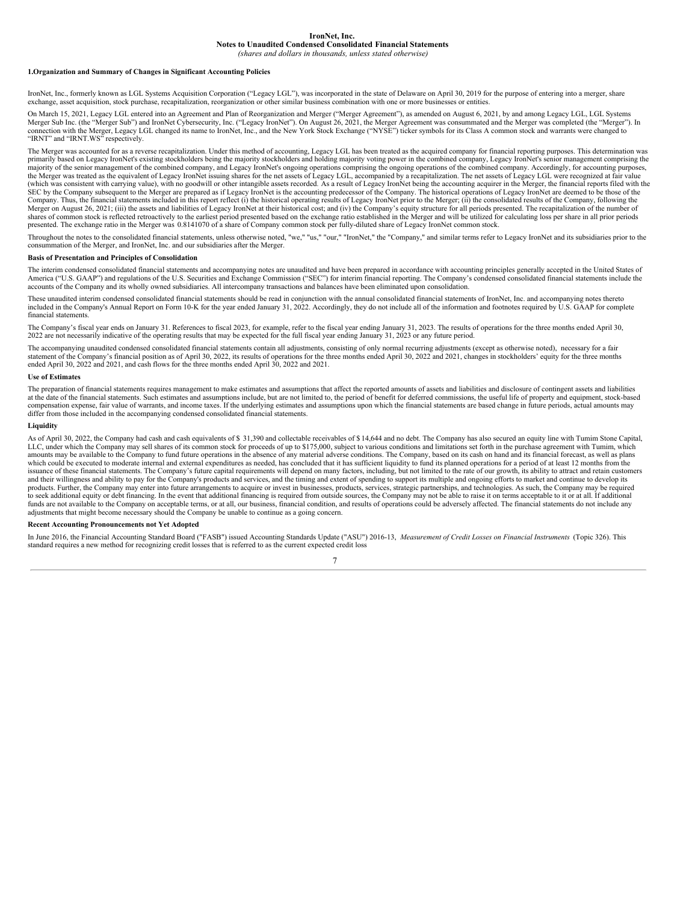#### **IronNet, Inc. Notes to Unaudited Condensed Consolidated Financial Statements** *(shares and dollars in thousands, unless stated otherwise)*

#### <span id="page-7-0"></span>**1.Organization and Summary of Changes in Significant Accounting Policies**

IronNet, Inc., formerly known as LGL Systems Acquisition Corporation ("Legacy LGL"), was incorporated in the state of Delaware on April 30, 2019 for the purpose of entering into a merger, share exchange, asset acquisition, stock purchase, recapitalization, reorganization or other similar business combination with one or more businesses or entities.

On March 15, 2021, Legacy LGL entered into an Agreement and Plan of Reorganization and Merger ("Merger Agreement"), as amended on August 6, 2021, by and among Legacy LGL, LGL Systems Merger Sub Inc. (the "Merger Sub") and IronNet Cybersecurity, Inc. ("Legacy IronNet"). On August 26, 2021, the Merger Agreement was consummated and the Merger was completed (the "Merger"). In connection with the Merger, Legacy LGL changed its name to IronNet, Inc., and the New York Stock Exchange ("NYSE") ticker symbols for its Class A common stock and warrants were changed to "IRNT" and "IRNT.WS" respectively.

The Merger was accounted for as a reverse recapitalization. Under this method of accounting, Legacy LGL has been treated as the acquired company for financial reporting purposes. This determination was primarily based on L majority of the senior management of the combined company, and Legacy IronNet's ongoing operations comprising the ongoing operations of the combined company. Accordingly, for accounting purposes,<br>the Merger was treated as SEC by the Company subsequent to the Merger are prepared as if Legacy IronNet is the accounting predecessor of the Company. The historical operations of Legacy IronNet are deemed to be those of the Company. Thus, the financial statements included in this report reflect (i) the historical operating results of Legacy IronNet prior to the Merger; (ii) the consolidated results of the Company, following the Merger on August 26, 2021; (iii) the assets and liabilities of Legacy IronNet at their historical cost; and (iv) the Company's equity structure for all periods presented. The recapitalization of the number of<br>shares of com presented. The exchange ratio in the Merger was 0.8141070 of a share of Company common stock per fully-diluted share of Legacy IronNet common stock.

Throughout the notes to the consolidated financial statements, unless otherwise noted, "we," "us," "lour," "IronNet," the "Company," and similar terms refer to Legacy IronNet and its subsidiaries prior to the consummation of the Merger, and IronNet, Inc. and our subsidiaries after the Merger.

### **Basis of Presentation and Principles of Consolidation**

The interim condensed consolidated financial statements and accompanying notes are unaudited and have been prepared in accordance with accounting principles generally accepted in the United States of<br>America ("U.S. GAAP")

These unaudited interim condensed consolidated financial statements should be read in conjunction with the annual consolidated financial statements of IronNet, Inc. and accompanying notes thereto included in the Company's Annual Report on Form 10-K for the year ended January 31, 2022. Accordingly, they do not include all of the information and footnotes required by U.S. GAAP for complete financial statements.

The Company's fiscal year ends on January 31. References to fiscal 2023, for example, refer to the fiscal year ending January 31, 2023. The results of operations for the three months ended April 30, 2022 are not necessarily indicative of the operating results that may be expected for the full fiscal year ending January 31, 2023 or any future period.

The accompanying unaudited condensed consolidated financial statements contain all adjustments, consisting of only normal recurring adjustments (except as otherwise noted), necessary for a fair statement of the Company's financial position as of April 30, 2022, its results of operations for the three months ended April 30, 2022 and 2021, changes in stockholders' equity for the three months ended April 30, 2022 an

#### **Use of Estimates**

The preparation of financial statements requires management to make estimates and assumptions that affect the reported amounts of assets and liabilities and disclosure of contingent assets and liabilities at the date of the financial statements. Such estimates and assumptions include, but are not limited to, the period of benefit for deferred commissions, the useful life of property and equipment, stock-based compensation expense, fair value of warrants, and income taxes. If the underlying estimates and assumptions upon which the financial statements are based change in future periods, actual amounts may differ from those included in the accompanying condensed consolidated financial statements.

## **Liquidity**

As of April 30, 2022, the Company had cash and cash equivalents of \$ 31,390 and collectable receivables of \$14,644 and no debt. The Company has also secured an equity line with Tumim Stone Capital,<br>LLC, under which the Com amounts may be available to the Company to fund future operations in the absence of any material adverse conditions. The Company, based on its cash on hand and its financial forecast, as well as plans which could be executed to moderate internal and external expenditures as needed, has concluded that it has sufficient liquidity to fund its planned operations for a period of at least 12 months from the issuance of these financial statements. The Company's future capital requirements will depend on many factors, including, but not limited to the rate of our growth, its ability to attract and retain customers and their willingness and ability to pay for the Company's products and services, and the timing and extent of spending to support its multiple and ongoing efforts to market and continue to develop its<br>products. Further, t to seek additional equity or debt financing. In the event that additional financing is required from outside sources, the Company may not be able to raise it on terms acceptable to it or at all. If additional funds are not available to the Company on acceptable terms, or at all, our business, financial condition, and results of operations could be adversely affected. The financial statements do not include any adjustments that might become necessary should the Company be unable to continue as a going concern.

## **Recent Accounting Pronouncements not Yet Adopted**

In June 2016, the Financial Accounting Standard Board ("FASB") issued Accounting Standards Update ("ASU") 2016-13, Measurement of Credit Losses on Financial Instruments (Topic 326). This standard requires a new method for

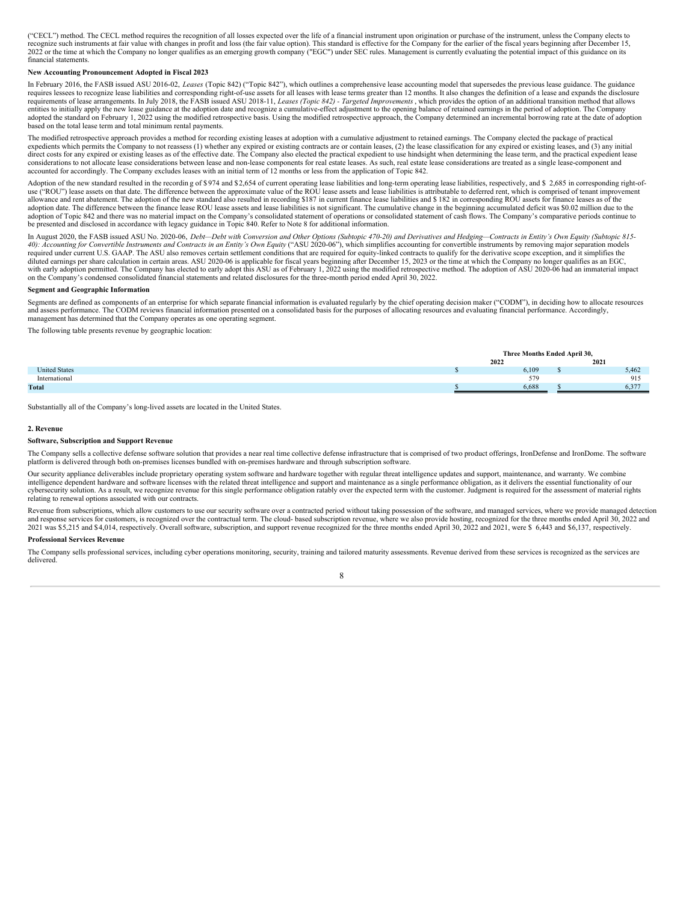("CECL") method. The CECL method requires the recognition of all losses expected over the life of a financial instrument upon origination or purchase of the instrument, unless the Company elects to recognize such instruments at fair value with changes in profit and loss (the fair value option). This standard is effective for the Company for the earlier of the fiscal years beginning after December 15,<br>2022 or the time financial statements.

## **New Accounting Pronouncement Adopted in Fiscal 2023**

In February 2016, the FASB issued ASU 2016-02, *Leases* (Topic 842) ("Topic 842"), which outlines a comprehensive lease accounting model that supersedes the previous lease guidance. The guidance requires lessees to recognize lease liabilities and corresponding right-of-use assets for all leases with lease terms greater than 12 months. It also changes the definition of a lease and expands the disclosure requirement entities to initially apply the new lease guidance at the adoption date and recognize a cumulative-effect adjustment to the opening balance of retained earnings in the period of adoption. The Company adopted the standard o based on the total lease term and total minimum rental payments.

The modified retrospective approach provides a method for recording existing leases at adoption with a cumulative adjustment to retained earnings. The Company elected the package of practical expedients which permits the Company to not reassess (1) whether any expired or existing contracts are or contain leases, (2) the lease classification for any expired or existing leases, and (3) any initial direct costs for any expired or existing leases as of the effective date. The Company also elected the practical expedient to use hindsight when determining the lease term, and the practical expedient lease<br>considerations accounted for accordingly. The Company excludes leases with an initial term of 12 months or less from the application of Topic 842.

Adoption of the new standard resulted in the recordin g of \$974 and \$2,654 of current operating lease liabilities and long-term operating lease liabilities, respectively, and \$ 2,685 in corresponding right-ofuse ("ROU") lease assets on that date. The difference between the approximate value of the ROU lease assets and lease liabilities is attributable to deferred rent, which is comprised of tenant improvement<br>allowance and ren adoption date. The difference between the finance lease ROU lease assets and lease liabilities is not significant. The cumulative change in the beginning accumulated deficit was \$0.02 million due to the adoption of Topic 842 and there was no material impact on the Company's consolidated statement of consolidated statement of cash flows. The Company's comparative periods continue to be presented and disclosed in accordance with legacy guidance in Topic 840. Refer to Note 8 for additional information.

In August 2020, the FASB issued ASU No. 2020-06, *Debt—Debt with Conversion and Other Options (Subtopic 470-20) and Derivatives and Hedging—Contracts in Entity's Own Equity (Subtopic 815-<br>40): Accounting for Convertible In* required under current U.S. GAAP. The ASU also removes certain settlement conditions that are required for equirty-linked contracts to qualify for the derivative scope exception, and it simplifies the diluted earnings per share calculation in certain areas. ASU 2020-06 is applicable for fiscal years beginning after December 15, 2023 or the time at which the Company no longer qualifies as an EGC, with early adoption permitted. The Company has elected to early adopt this ASU as of February 1, 2022 using the modified retrospective method. The adoption of ASU 2020-06 had an immaterial impact on the Company's condensed consolidated financial statements and related disclosures for the three-month period ended April 30, 2022.

#### **Segment and Geographic Information**

Segments are defined as components of an enterprise for which separate financial information is evaluated regularly by the chief operating decision maker ("CODM"), in deciding how to allocate resources and assess performance. The CODM reviews financial information presented on a consolidated basis for the purposes of allocating resources and evaluating financial performance. Accordingly, management has determined that the Company operates as one operating segment.

The following table presents revenue by geographic location:

|                      |      |       | Three Months Ended April 30, |                |
|----------------------|------|-------|------------------------------|----------------|
|                      | 2022 |       | 2021                         |                |
| <b>United States</b> |      | 6,109 |                              | 5,462          |
| International        |      | 579   |                              | 915            |
| <b>Total</b>         |      | 6,688 |                              | $-277$<br>6.37 |

Substantially all of the Company's long-lived assets are located in the United States.

#### **2. Revenue**

#### **Software, Subscription and Support Revenue**

The Company sells a collective defense software solution that provides a near real time collective defense infrastructure that is comprised of two product offerings, IronDefense and IronDome. The software platform is delivered through both on-premises licenses bundled with on-premises hardware and through subscription software.

Our security appliance deliverables include proprietary operating system software and hardware together with regular threat intelligence updates and support, maintenance, and warranty. We combine intelligence dependent hardware and software licenses with the related threat intelligence and support and maintenance as a single performance obligation, as it delivers the essential functionality of our<br>cybersecurity sol relating to renewal options associated with our contracts.

Revenue from subscriptions, which allow customers to use our security software over a contracted period without taking possession of the software, and managed services, where we provide managed detection and response services for customers, is recognized over the contractual term. The cloud- based subscription revenue, where we also provide hosting, recognized for the three months ended April 30, 2022 and 2021, were \$ 6,44

## **Professional Services Revenue**

The Company sells professional services, including cyber operations monitoring, security, training and tailored maturity assessments. Revenue derived from these services is recognized as the services are delivered.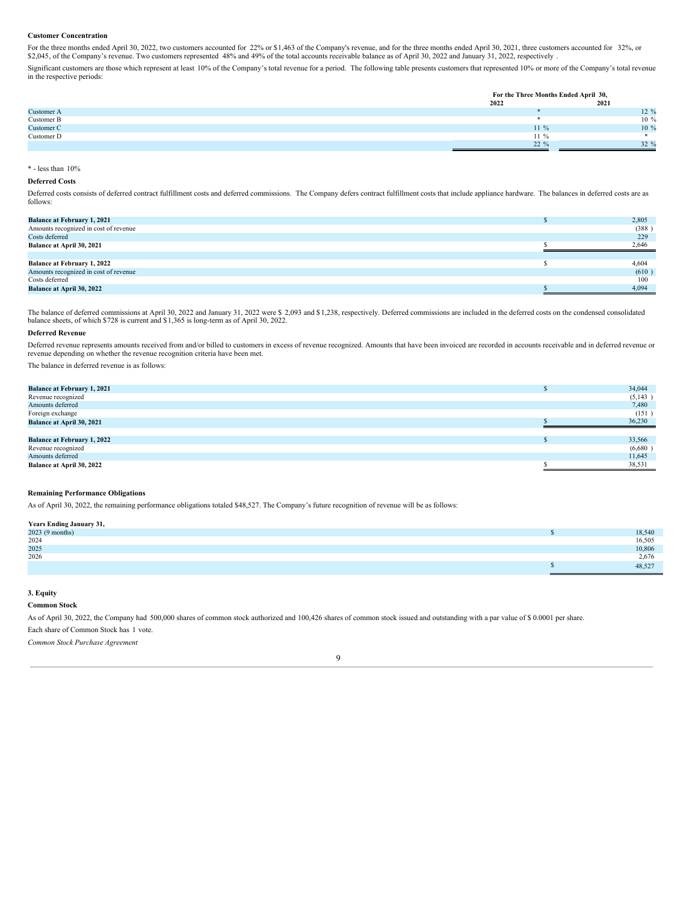#### **Customer Concentration**

For the three months ended April 30, 2022, two customers accounted for 22% or \$1,463 of the Company's revenue, and for the three months ended April 30, 2021, three customers accounted for 32%, or \$2,945, of the Company's r

Significant customers are those which represent at least 10% of the Company's total revenue for a period. The following table presents customers that represented 10% or more of the Company's total revenue in the respective periods:

|            | For the Three Months Ended April 30, |      |
|------------|--------------------------------------|------|
|            | 2022                                 | 2021 |
| Customer A |                                      | 12 % |
| Customer B |                                      | 10 % |
| Customer C | $11\%$                               | 10 % |
| Customer D | $11 \frac{0}{6}$                     |      |
|            | 22%                                  | 32 % |

## $*$  - less than  $10\%$

## **Deferred Costs**

Deferred costs consists of deferred contract fulfillment costs and deferred commissions. The Company defers contract fulfillment costs that include appliance hardware. The balances in deferred costs are as follows:

| <b>Balance at February 1, 2021</b>    | 2,805 |
|---------------------------------------|-------|
| Amounts recognized in cost of revenue | (388) |
| Costs deferred                        | 229   |
| Balance at April 30, 2021             | 2,646 |
|                                       |       |
| <b>Balance at February 1, 2022</b>    | 4,604 |
| Amounts recognized in cost of revenue | (610) |
| Costs deferred                        | 100   |
| <b>Balance at April 30, 2022</b>      | 4,094 |

The balance of deferred commissions at April 30, 2022 and January 31, 2022 were \$ 2,093 and \$1,238, respectively. Deferred commissions are included in the deferred costs on the condensed consolidated balance sheets, of which \$728 is current and \$1,365 is long-term as of April 30, 2022.

#### **Deferred Revenue**

Deferred revenue represents amounts received from and/or billed to customers in excess of revenue recognized. Amounts that have been invoiced are recorded in accounts receivable and in deferred revenue or revenue depending on whether the revenue recognition criteria have been met.

The balance in deferred revenue is as follows:

| <b>Balance at February 1, 2021</b> | 34,044   |
|------------------------------------|----------|
| Revenue recognized                 | (5, 143) |
| Amounts deferred                   | 7,480    |
| Foreign exchange                   | (151)    |
| Balance at April 30, 2021          | 36,230   |
|                                    |          |
| <b>Balance at February 1, 2022</b> | 33,566   |
| Revenue recognized                 | (6,680)  |
| Amounts deferred                   | 11,645   |
| Balance at April 30, 2022          | 38,531   |

## **Remaining Performance Obligations**

As of April 30, 2022, the remaining performance obligations totaled \$48,527. The Company's future recognition of revenue will be as follows:

| <b>Years Ending January 31,</b> |        |
|---------------------------------|--------|
| 2023 (9 months)                 | 18,540 |
| 2024                            | 16,505 |
| 2025                            | 10,806 |
| 2026                            | 2,676  |
|                                 | 48,527 |

## **3. Equity**

## **Common Stock**

As of April 30, 2022, the Company had 500,000 shares of common stock authorized and 100,426 shares of common stock issued and outstanding with a par value of \$ 0.0001 per share.

Each share of Common Stock has 1 vote.

*Common Stock Purchase Agreement*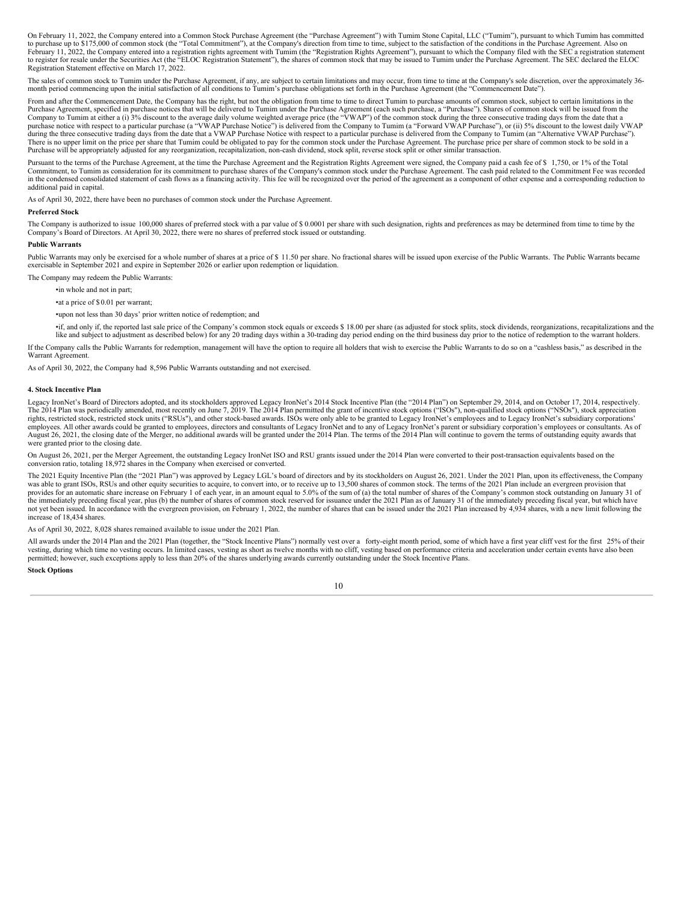On February 11, 2022, the Company entered into a Common Stock Purchase Agreement (the "Purchase Agreement") with Tumim Stone Capital, LLC ("Tumim"), pursuant to which Tumim has committed to purchase up to \$175,000 of common stock (the "Total Commitment"), at the Company's direction from time to time, subject to the satisfaction of the conditions in the Purchase Agreement. Also on<br>February 11, 2022, the Com Registration Statement effective on March 17, 2022.

The sales of common stock to Tumim under the Purchase Agreement, if any, are subject to certain limitations and may occur, from time to time at the Company's sole discretion, over the approximately 36 month period commencing upon the initial satisfaction of all conditions to Tumim's purchase obligations set forth in the Purchase Agreement (the "Commencement Date").

From and after the Commencement Date, the Company has the right, but not the obligation from time to time to direct Tumim to purchase amounts of common stock, subject to certain limitations in the Purchase Agreement, specified in purchase notices that will be delivered to Tumim under the Purchase Agreement (each such purchase, a "Purchase"). Shares of common stock will be issued from the these solic state in the dis purchase notice with respect to a particular purchase (a "VWAP Purchase Notice") is delivered from the Company to Tumim (a "Forward VWAP Purchase"), or (ii) 5% discount to the lowest daily VWAP during the three consecutive trading days from the date that a VWAP Purchase Notice with respect to a particular purchase is delivered from the Company to Tumim (an "Alternative VWAP Purchase").<br>There is no upper limit on Purchase will be appropriately adjusted for any reorganization, recapitalization, non-cash dividend, stock split, reverse stock split or other similar transaction

Pursuant to the terms of the Purchase Agreement, at the time the Purchase Agreement and the Registration Rights Agreement were signed, the Company paid a cash fee of \$ 1,750, or 1% of the Total Commitment, to Tumim as consideration for its commitment to purchase shares of the Company's common stock under the Purchase Agreement. The cash paid related to the Commitment Fee was recorded in the condensed consolidated additional paid in capital.

As of April 30, 2022, there have been no purchases of common stock under the Purchase Agreement.

#### **Preferred Stock**

The Company is authorized to issue 100,000 shares of preferred stock with a par value of \$ 0.0001 per share with such designation, rights and preferences as may be determined from time to time by the Company's Board of Directors. At April 30, 2022, there were no shares of preferred stock issued or outstanding.

## **Public Warrants**

Public Warrants may only be exercised for a whole number of shares at a price of \$ 11.50 per share. No fractional shares will be issued upon exercise of the Public Warrants. The Public Warrants became exercisable in September 2021 and expire in September 2026 or earlier upon redemption or liquidation.

The Company may redeem the Public Warrants:

- •in whole and not in part;
- •at a price of \$ 0.01 per warrant;
- •upon not less than 30 days' prior written notice of redemption; and

•if, and only if, the reported last sale price of the Company's common stock equals or exceeds \$ 18.00 per share (as adjusted for stock splits, stock dividends, reorganizations, recapitalizations and the like and subject to adjustment as described below) for any 20 trading days within a 30-trading day period ending on the third business day prior to the notice of redemption to the warrant holders.

If the Company calls the Public Warrants for redemption, management will have the option to require all holders that wish to exercise the Public Warrants to do so on a "cashless basis," as described in the Warrant Agreement.

As of April 30, 2022, the Company had 8,596 Public Warrants outstanding and not exercised.

#### **4. Stock Incentive Plan**

Legacy IronNet's Board of Directors adopted, and its stockholders approved Legacy IronNet's 2014 Stock Incentive Plan (the "2014 Plan") on September 29, 2014, and on October 17, 2014, respectively. The 2014 Plan was periodically amended, most recently on June 7, 2019. The 2014 Plan permitted the grant of incentive stock options ("ISOs"), non-qualified stock options ("NSOs"), stock appreciation rights, restricted stoc employees. All other awards could be granted to employees, directors and consultants of Legacy IronNet and to any of Legacy IronNet's parent or subsidiary corporation's employees or consultants. As of August 26, 2021, the closing date of the Merger, no additional awards will be granted under the 2014 Plan. The terms of the 2014 Plan will continue to govern the terms of outstanding equity awards that were granted prior to the closing date.

On August 26, 2021, per the Merger Agreement, the outstanding Legacy IronNet ISO and RSU grants issued under the 2014 Plan were converted to their post-transaction equivalents based on the conversion ratio, totaling 18,972

The 2021 Equity Incentive Plan (the "2021 Plan") was approved by Legacy LGL's board of directors and by its stockholders on August 26, 2021. Under the 2021 Plan, upon its effectiveness, the Company was able to grant ISOs, RSUs and other equity securities to acquire, to convert into, or to receive up to 13,500 shares of common stock. The terms of the 2021 Plan include an evergreen provision that provides for an automatic share increase on February 1 of each year, in an amount equal to 5.0% of the sum of (a) the total number of shares of the Company's common stock outstanding on January 31 of<br>the immediately preced not yet been issued. In accordance with the evergreen provision, on February 1, 2022, the number of shares that can be issued under the 2021 Plan increased by 4,934 shares, with a new limit following the number of shares t increase of 18,434 shares.

As of April 30, 2022, 8,028 shares remained available to issue under the 2021 Plan.

All awards under the 2014 Plan and the 2021 Plan (together, the "Stock Incentive Plans") normally vest over a forty-eight month period, some of which have a first year cliff vest for the first 25% of their vesting, during which time no vesting occurs. In limited cases, vesting as short as twelve months with no cliff, vesting based on performance criteria and acceleration under certain events have also been permitted; however, such exceptions apply to less than 20% of the shares underlying awards currently outstanding under the Stock Incentive Plans.

#### **Stock Options**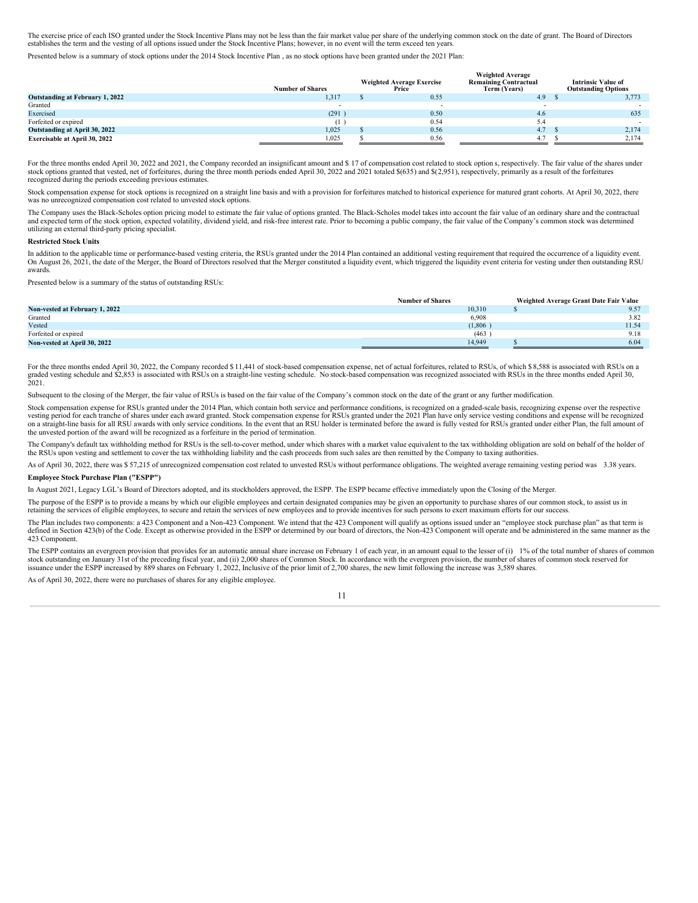The exercise price of each ISO granted under the Stock Incentive Plans may not be less than the fair market value per share of the underlying common stock on the date of grant. The Board of Directors establishes the term and the vesting of all options issued under the Stock Incentive Plans; however, in no event will the term exceed ten years. Presented below is a summary of stock options under the 2014 Stock Incentive Plan , as no stock options have been granted under the 2021 Plan:

|                                      | <b>Number of Shares</b> | <b>Weighted Average Exercise</b><br>Price | <b>Weighted Average</b><br><b>Remaining Contractual</b><br>Term (Years) | <b>Intrinsic Value of</b><br><b>Outstanding Options</b> |
|--------------------------------------|-------------------------|-------------------------------------------|-------------------------------------------------------------------------|---------------------------------------------------------|
| Outstanding at February 1, 2022      | 1,317                   | 0.55                                      | 4.9                                                                     | 3,773                                                   |
| Granted                              |                         |                                           |                                                                         |                                                         |
| Exercised                            | (291)                   | 0.50                                      | 4.6                                                                     | 635                                                     |
| Forfeited or expired                 |                         | 0.54                                      | 5.4                                                                     |                                                         |
| Outstanding at April 30, 2022        | 1,025                   | 0.56                                      | 4.7 S                                                                   | 2,174                                                   |
| <b>Exercisable at April 30, 2022</b> | 1,025                   | 0.56                                      | 4.7                                                                     | 2,174                                                   |

For the three months ended April 30, 2022 and 2021, the Company recorded an insignificant amount and \$17 of compensation cost related to stock option s, respectively. The fair value of the shares under stock options granted that vested, net of forfeitures, during the three month periods ended April 30, 2022 and 2021 totaled \$(635) and \$(2,951), respectively, primarily as a result of the forfeitures recognized during the periods exceeding previous estimates.

Stock compensation expense for stock options is recognized on a straight line basis and with a provision for forfeitures matched to historical experience for matured grant cohorts. At April 30, 2022, there was no unrecognized compensation cost related to unvested stock options.

The Company uses the Black-Scholes option pricing model to estimate the fair value of options granted. The Black-Scholes model takes into account the fair value of an ordinary share and the contractual and expected term of the stock option, expected volatility, dividend yield, and risk-free interest rate. Prior to becoming a public company, the fair value of the Company's common stock was determined utilizing an external third-party pricing specialist.

## **Restricted Stock Units**

In addition to the applicable time or performance-based vesting criteria, the RSUs granted under the 2014 Plan contained an additional vesting requirement that required the occurrence of a liquidity event.<br>On August 26, 20 awards.

Presented below is a summary of the status of outstanding RSUs:

|                                | <b>Number of Shares</b> | Weighted Average Grant Date Fair Value |
|--------------------------------|-------------------------|----------------------------------------|
| Non-vested at February 1, 2022 | 10,310                  | 9.57                                   |
| Granted                        | 6.908                   | 3.82                                   |
| Vested                         | (1,806)                 | 11.54                                  |
| Forfeited or expired           | (463)                   | 9.18                                   |
| Non-vested at April 30, 2022   | 14.949                  | 6.04                                   |

For the three months ended April 30, 2022, the Company recorded \$11,441 of stock-based compensation expense, net of actual forfeitures, related to RSUs, of which \$ 8,588 is associated with RSUs on a graded vesting schedule and \$2,853 is associated with RSUs on a straight-line vesting schedule. No stock-based compensation was recognized associated with RSUs in the three months ended April 30, 2021.

Subsequent to the closing of the Merger, the fair value of RSUs is based on the fair value of the Company's common stock on the date of the grant or any further modification.

Stock compensation expense for RSUs granted under the 2014 Plan, which contain both service and performance conditions, is recognized on a graded-scale basis, recognizing expense over the respective vesting period for each on a straight-line basis for all RSU awards with only service conditions. In the event that an RSU holder is terminated before the award is fully vested for RSUs granted under either Plan, the full amount of the unvested portion of the award will be recognized as a forfeiture in the period of termination.

The Company's default tax withholding method for RSUs is the sell-to-cover method, under which shares with a market value equivalent to the tax withholding obligation are sold on behalf of the holder of the RSUs upon vesting and settlement to cover the tax withholding liability and the cash proceeds from such sales are then remitted by the Company to taxing authorities.

As of April 30, 2022, there was \$ 57,215 of unrecognized compensation cost related to unvested RSUs without performance obligations. The weighted average remaining vesting period was 3.38 years. **Employee Stock Purchase Plan ("ESPP")**

In August 2021, Legacy LGL's Board of Directors adopted, and its stockholders approved, the ESPP. The ESPP became effective immediately upon the Closing of the Merger.

The purpose of the ESPP is to provide a means by which our eligible employees and certain designated companies may be given an opportunity to purchase shares of our common stock, to assist us in retaining the services of eligible employees, to secure and retain the services of new employees and to provide incentives for such persons to exert maximum efforts for our success.

The Plan includes two components: a 423 Component and a Non-423 Component. We intend that the 423 Component will qualify as options issued under an "employee stock purchase plan" as that term is defined in Section 423(b) of the Code. Except as otherwise provided in the ESPP or determined by our board of directors, the Non-423 Component will operate and be administered in the same manner as the 423 Component.

The ESPP contains an evergreen provision that provides for an automatic annual share increase on February 1 of each year, in an amount equal to the lesser of (i) 1% of the total number of shares of common stock outstanding on January 31st of the preceding fiscal year, and (ii) 2,000 shares of Common Stock. In accordance with the evergreen provision, the number of shares of common stock reserved for issuance under the ESPP increased by 889 shares on February 1, 2022, Inclusive of the prior limit of 2,700 shares, the new limit following the increase was 3,589 shares.

As of April 30, 2022, there were no purchases of shares for any eligible employee.

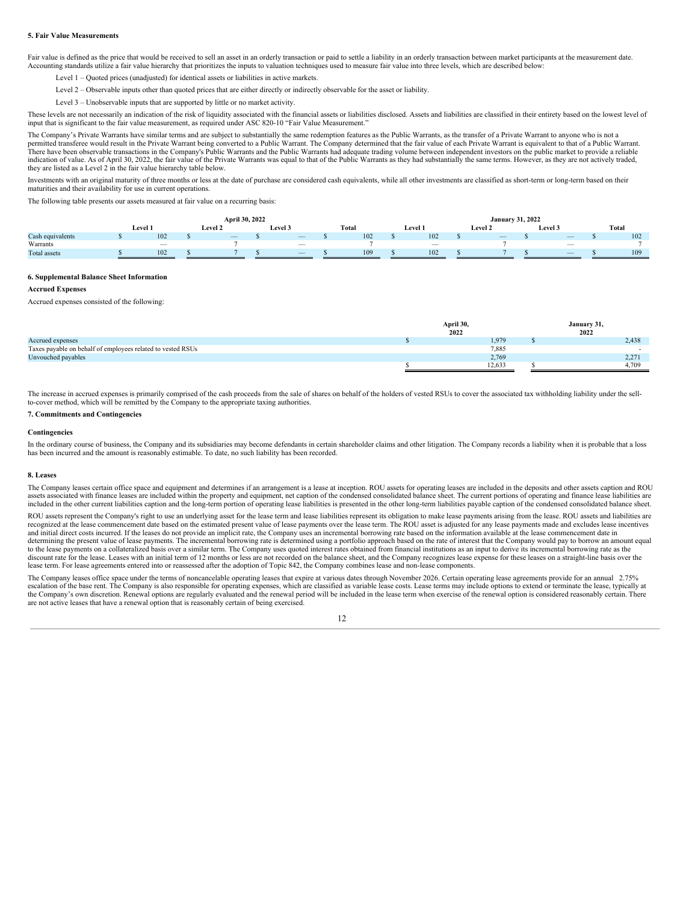## **5. Fair Value Measurements**

Fair value is defined as the price that would be received to sell an asset in an orderly transaction or paid to settle a liability in an orderly transaction between market participants at the measurement date. Accounting standards utilize a fair value hierarchy that prioritizes the inputs to valuation techniques used to measure fair value into three levels, which are described below:

- Level 1 Quoted prices (unadjusted) for identical assets or liabilities in active markets.
- Level 2 Observable inputs other than quoted prices that are either directly or indirectly observable for the asset or liability.
- Level 3 Unobservable inputs that are supported by little or no market activity.

These levels are not necessarily an indication of the risk of liquidity associated with the financial assets or liabilities disclosed. Assets and liabilities are classified in their entirety based on the lowest level of input that is significant to the fair value measurement, as required under ASC 820-10 "Fair Value Measurement."

The Company's Private Warrants have similar terms and are subject to substantially the same redemption features as the Public Warrants, as the transfer of a Private Warrant to anyone who is not a permitted transferee would result in the Private Warrant being converted to a Public Warrant. The Company determined that the fair value of each Private Warrant is equivalent to that of a Public Warrant.<br>There have been ob indication of value. As of April 30, 2022, the fair value of the Private Warrants was equal to that of the Public Warrants as they had substantially the same terms. However, as they are not actively traded, they are listed as a Level 2 in the fair value hierarchy table below.

Investments with an original maturity of three months or less at the date of purchase are considered cash equivalents, while all other investments are classified as short-term or long-term based on their maturities and their availability for use in current operations.

The following table presents our assets measured at fair value on a recurring basis:

|                     | April 30, 2022 |                          |  |                       | <b>January 31, 2022</b>  |              |  |                          |  |                          |  |                          |  |            |
|---------------------|----------------|--------------------------|--|-----------------------|--------------------------|--------------|--|--------------------------|--|--------------------------|--|--------------------------|--|------------|
|                     |                | <b>Level 1</b>           |  | . .<br><b>Level</b> 2 | <b>Level 3</b>           | <b>Total</b> |  | <b>Level 1</b>           |  | <b>Level 2</b>           |  | ⊥evel 3                  |  | Total<br>. |
| Cash equivalents    |                | 102                      |  | $\hspace{0.1mm}$      | $\overline{\phantom{a}}$ | 102          |  | 102                      |  | $\overline{\phantom{a}}$ |  | $\overline{\phantom{a}}$ |  | 102        |
| Warrants            |                | $\overline{\phantom{a}}$ |  |                       | $\overline{\phantom{a}}$ |              |  | $\overline{\phantom{a}}$ |  |                          |  | $\overline{\phantom{a}}$ |  |            |
| <b>Total</b> assets |                | 102                      |  |                       | $\overline{\phantom{a}}$ | 109          |  | 102                      |  |                          |  | $\overline{\phantom{a}}$ |  | 109        |

## **6. Supplemental Balance Sheet Information**

#### **Accrued Expenses**

Accrued expenses consisted of the following:

|                                                             | April 30.<br>2022 |        | January 31.<br>2022 |
|-------------------------------------------------------------|-------------------|--------|---------------------|
| Accrued expenses                                            |                   | 1,979  | 2,438               |
| Taxes payable on behalf of employees related to vested RSUs |                   | 7.885  | $\sim$              |
| Unvouched payables                                          |                   | 2,769  | 271<br>2, 211       |
|                                                             |                   | 12.633 | 4.709               |

The increase in accrued expenses is primarily comprised of the cash proceeds from the sale of shares on behalf of the holders of vested RSUs to cover the associated tax withholding liability under the sellto-cover method, which will be remitted by the Company to the appropriate taxing authorities.

## **7. Commitments and Contingencies**

#### **Contingencies**

In the ordinary course of business, the Company and its subsidiaries may become defendants in certain shareholder claims and other litigation. The Company records a liability when it is probable that a loss has been incurred and the amount is reasonably estimable. To date, no such liability has been recorded.

#### **8. Leases**

The Company leases certain office space and equipment and determines if an arrangement is a lease at inception. ROU assets for operating leases are included in the deposits and other assets caption and ROU assets associated with finance leases are included within the property and equipment, net caption of the condensed consolidated balance sheet. The current portions of operating and finance lease liabilities are included in

ROU assets represent the Company's right to use an underlying asset for the lease term and lease liabilities represent its obligation to make lease payments arising from the lease. ROU assets and liabilities are recognized and initial direct costs incurred. If the leases do not provide an implicit rate, the Company uses an incremental borrowing rate based on the information available at the lease commencement date in determining the present value of lease payments. The incremental borrowing rate is determined using a portfolio approach based on the rate of interest that the Company would pay to borrow an amount equal to the lease payments on a collateralized basis over a similar term. The Company uses quoted interest rates obtained from financial institutions as an input to derive its incremental borrowing rate as the discount rate for the lease. Leases with an initial term of 12 months or less are not recorded on the balance sheet, and the Company recognizes lease expense for these leases on a straight-line basis over the lease term. For lease agreements entered into or reassessed after the adoption of Topic 842, the Company combines lease and non-lease components.

The Company leases office space under the terms of noncancelable operating leases that expire at various dates through November 2026. Certain operating lease agreements provide for an annual 2.75% escalation of the base rent. The Company is also responsible for operating expenses, which are classified as variable lease costs. Lease terms may include options to extend or terminate the lease, typically at the Company's own discretion. Renewal options are regularly evaluated and the renewal period will be included in the lease term when exercise of the renewal option is considered reasonably certain. There are not active leases that have a renewal option that is reasonably certain of being exercised.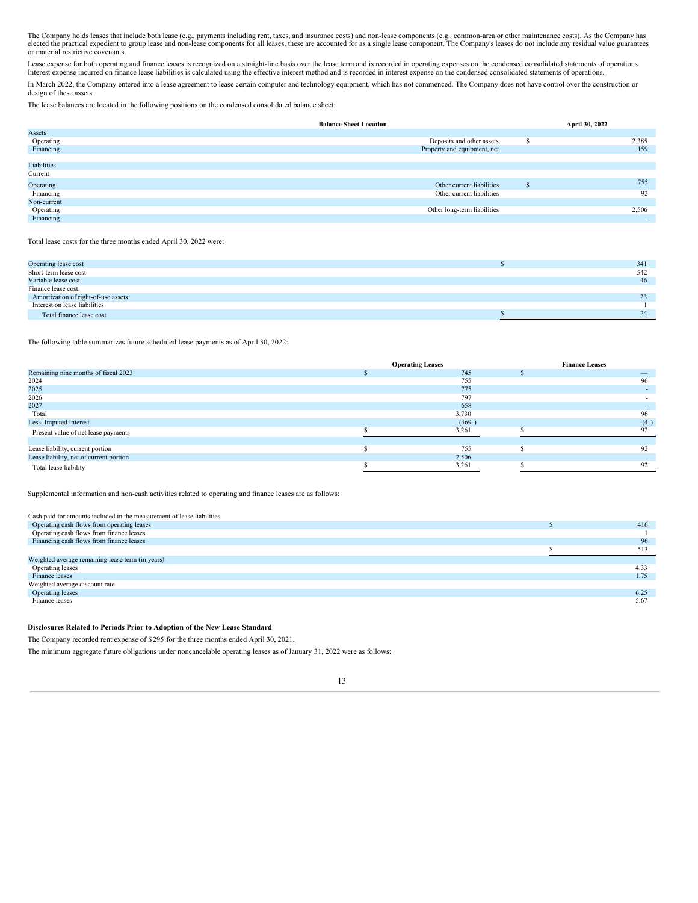The Company holds leases that include both lease (e.g., payments including rent, taxes, and insurance costs) and non-lease components (e.g., common-area or other maintenance costs). As the Company has elected the practical expedient to group lease and non-lease components for all leases, these are accounted for as a single lease component. The Company's leases do not include any residual value guarantees or material restrictive covenants.

Lease expense for both operating and finance leases is recognized on a straight-line basis over the lease term and is recorded in operating expenses on the condensed consolidated statements of operations.<br>Interest expense

In March 2022, the Company entered into a lease agreement to lease certain computer and technology equipment, which has not commenced. The Company does not have control over the construction or design of these assets.

The lease balances are located in the following positions on the condensed consolidated balance sheet:

|             | <b>Balance Sheet Location</b> | April 30, 2022 |        |
|-------------|-------------------------------|----------------|--------|
| Assets      |                               |                |        |
| Operating   | Deposits and other assets     |                | 2,385  |
| Financing   | Property and equipment, net   |                | 159    |
|             |                               |                |        |
| Liabilities |                               |                |        |
| Current     |                               |                |        |
| Operating   | Other current liabilities     |                | 755    |
| Financing   | Other current liabilities     |                | 92     |
| Non-current |                               |                |        |
| Operating   | Other long-term liabilities   |                | 2,506  |
| Financing   |                               |                | $\sim$ |
|             |                               |                |        |

Total lease costs for the three months ended April 30, 2022 were:

| Operating lease cost                | 341    |
|-------------------------------------|--------|
| Short-term lease cost               | 542    |
| Variable lease cost                 | 46     |
| Finance lease cost:                 |        |
| Amortization of right-of-use assets | $23 -$ |
| Interest on lease liabilities       |        |
| Total finance lease cost            | 24     |

The following table summarizes future scheduled lease payments as of April 30, 2022:

|                                         | <b>Operating Leases</b> | <b>Finance Leases</b> |                          |
|-----------------------------------------|-------------------------|-----------------------|--------------------------|
| Remaining nine months of fiscal 2023    | 745                     |                       |                          |
| 2024                                    | 755                     |                       | 96                       |
| 2025                                    | 775                     |                       |                          |
| 2026                                    | 797                     |                       | $\overline{\phantom{a}}$ |
| 2027                                    | 658                     |                       |                          |
| Total                                   | 3,730                   |                       | 96                       |
| Less: Imputed Interest                  | (469)                   |                       | (4)                      |
| Present value of net lease payments     | 3,261                   |                       | 92                       |
|                                         |                         |                       |                          |
| Lease liability, current portion        | 755                     |                       | 92                       |
| Lease liability, net of current portion | 2,506                   |                       |                          |
| Total lease liability                   | 3,261                   |                       | 92                       |

Supplemental information and non-cash activities related to operating and finance leases are as follows:

| Cash paid for amounts included in the measurement of lease liabilities |      |
|------------------------------------------------------------------------|------|
| Operating cash flows from operating leases                             | 416  |
| Operating cash flows from finance leases                               |      |
| Financing cash flows from finance leases                               | 96   |
|                                                                        | 513  |
| Weighted average remaining lease term (in years)                       |      |
| Operating leases                                                       | 4.33 |
| Finance leases                                                         | 1.75 |
| Weighted average discount rate                                         |      |
| Operating leases                                                       | 6.25 |
| Finance leases                                                         | 5.67 |

## **Disclosures Related to Periods Prior to Adoption of the New Lease Standard**

The Company recorded rent expense of \$295 for the three months ended April 30, 2021.

The minimum aggregate future obligations under noncancelable operating leases as of January 31, 2022 were as follows:

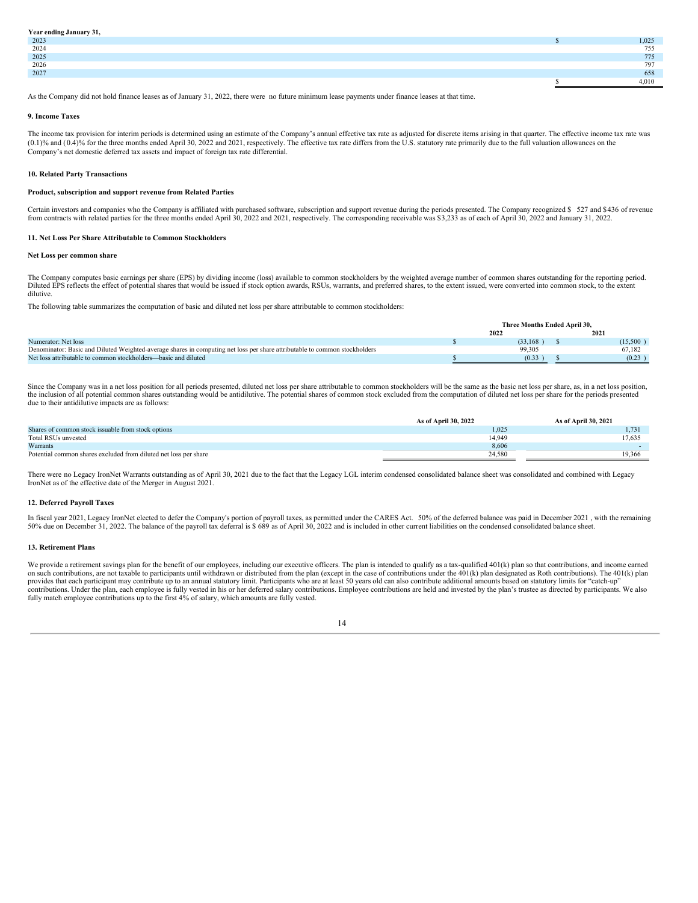#### **Year ending January 31,**

| 2023 | .025       |
|------|------------|
| 2024 | 755<br>ـ ر |
| 2025 | 775        |
| 2026 | 797        |
| 2027 | 658        |
|      | 4,010      |

As the Company did not hold finance leases as of January 31, 2022, there were no future minimum lease payments under finance leases at that time.

#### **9. Income Taxes**

The income tax provision for interim periods is determined using an estimate of the Company's annual effective tax rate as adjusted for discrete items arising in that quarter. The effective income tax rate was (0.1)% and (0.4)% for the three months ended April 30, 2022 and 2021, respectively. The effective tax rate differs from the U.S. statutory rate primarily due to the full valuation allowances on the Company's net domestic deferred tax assets and impact of foreign tax rate differential.

## **10. Related Party Transactions**

## **Product, subscription and support revenue from Related Parties**

Certain investors and companies who the Company is affiliated with purchased software, subscription and support revenue during the periods presented. The Company recognized \$ 527 and \$436 of revenue from contracts with related parties for the three months ended April 30, 2022 and 2021, respectively. The corresponding receivable was \$3,233 as of each of April 30, 2022 and January 31, 2022.

## **11. Net Loss Per Share Attributable to Common Stockholders**

## **Net Loss per common share**

The Company computes basic earnings per share (EPS) by dividing income (loss) available to common stockholders by the weighted average number of common shares outstanding for the reporting period.<br>Diluted EPS reflects the dilutive.

The following table summarizes the computation of basic and diluted net loss per share attributable to common stockholders:

|                                                                                                                            | Three Months Ended April 30. |          |  |          |
|----------------------------------------------------------------------------------------------------------------------------|------------------------------|----------|--|----------|
|                                                                                                                            |                              | 2022     |  | 2021     |
| Numerator: Net loss                                                                                                        |                              | (33.168) |  | (15,500) |
| Denominator: Basic and Diluted Weighted-average shares in computing net loss per share attributable to common stockholders |                              | 99.305   |  | 67.182   |
| Net loss attributable to common stockholders—basic and diluted                                                             |                              | (0.33)   |  | (0.23)   |

Since the Company was in a net loss position for all periods presented, diluted net loss per share attributable to common stockholders will be the same as the basic net loss per share, as, in a net loss position, the inclusion of all potential common shares outstanding would be antidilutive. The potential shares of common stock excluded from the computation of diluted net loss per share for the periods presented the excluded from t due to their antidilutive impacts are as follows:

|                                                                  | As of April 30, 2022 | As of April 30, 2021 |
|------------------------------------------------------------------|----------------------|----------------------|
| Shares of common stock issuable from stock options               | 1.025                | 1.731                |
| Total RSUs unvested                                              | 14.949               | 17.635               |
| Warrants                                                         | 8.606                |                      |
| Potential common shares excluded from diluted net loss per share | 24.580               | 19.366               |

There were no Legacy IronNet Warrants outstanding as of April 30, 2021 due to the fact that the Legacy LGL interim condensed consolidated balance sheet was consolidated and combined with Legacy IronNet as of the effective date of the Merger in August 2021.

## **12. Deferred Payroll Taxes**

In fiscal year 2021, Legacy IronNet elected to defer the Company's portion of payroll taxes, as permitted under the CARES Act. 50% of the deferred balance was paid in December 2021, with the remaining 50% due on December 31, 2022. The balance of the payroll tax deferral is \$ 689 as of April 30, 2022 and is included in other current liabilities on the condensed consolidated balance sheet.

#### **13. Retirement Plans**

We provide a retirement savings plan for the benefit of our employees, including our executive officers. The plan is intended to qualify as a tax-qualified 401(k) plan so that contributions, and income earned on such contributions, are not taxable to participants until withdrawn or distributed from the plan (except in the case of contributions under the 401(k) plan designated as Roth contributions). The 401(k) plan<br>provides tha contributions. Under the plan, each employee is fully vested in his or her deferred salary contributions. Employee contributions are held and invested by the plan's trustee as directed by participants. We also fully match employee contributions up to the first 4% of salary, which amounts are fully vested.

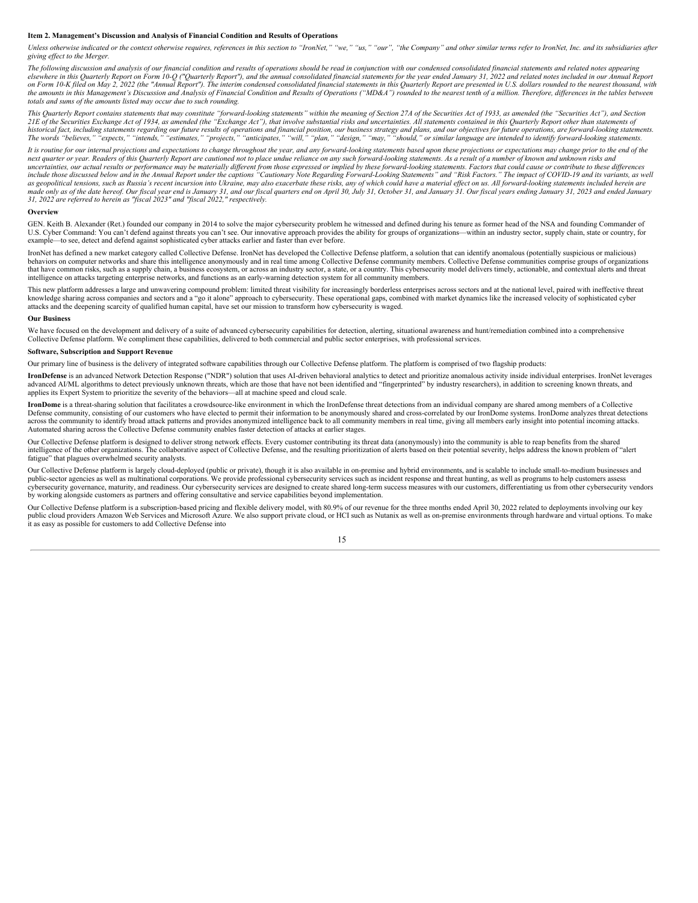## **Item 2. Management's Discussion and Analysis of Financial Condition and Results of Operations**

Unless otherwise indicated or the context otherwise requires, references in this section to "IronNet," "we," "us," "our", "the Company" and other similar terms refer to IronNet, Inc. and its subsidiaries after *giving ef ect to the Merger.*

The following discussion and analysis of our financial condition and results of operations should be read in conjunction with our condensed consolidated financial statements and related notes appearing<br>elsewhere in this Qu on Form 10-K filed on May 2, 2022 (the "Annual Report"). The interim condensed consolidated financial statements in this Quarterly Report are presented in U.S. dollars rounded to the nearest thousand, with the amounts in this Management's Discussion and Analysis of Financial Condition and Results of Operations ("MD&A") rounded to the nearest tenth of a million. Therefore, differences in the tables between *totals and sums of the amounts listed may occur due to such rounding.*

This Quarterly Report contains statements that may constitute "forward-looking statements" within the meaning of Section 27A of the Securities Act of 1933, as amended (the "Securities Act"), and Section<br>21E of the Securiti historical fact, including statements regarding our future results of operations and financial position, our business strategy and plans, and our objectives for future operations, are forward-looking statements.<br>The words

It is routine for our internal projections and expectations to change throughout the year, and any forward-looking statements based upon these projections or expectations may change prior to the end of the next quarter or year. Readers of this Quarterly Report are cautioned not to place undue reliance on any such forward-looking statements. As a result of a number of known and unknown risks and uncertainties, our actual results or performance may be materially different from those expressed or implied by these forward-looking statements. Factors that could cause or contribute to these differences<br>include those di made only as of the date hereof. Our fiscal year end is January 31, and our fiscal quarters end on April 30, July 31, October 31, and January 31. Our fiscal years ending January 31, 2023 and ended January<br>31, 2022 are refe

#### **Overview**

GEN. Keith B. Alexander (Ret.) founded our company in 2014 to solve the major cybersecurity problem he witnessed and defined during his tenure as former head of the NSA and founding Commander of U.S. Cyber Command: You can't defend against threats you can't see. Our innovative approach provides the ability for groups of organizations—within an industry sector, supply chain, state or country, for example—to see, de

IronNet has defined a new market category called Collective Defense. IronNet has developed the Collective Defense platform, a solution that can identify anomalous (potentially suspicious or malicious) behaviors on computer networks and share this intelligence anonymously and in real time among Collective Defense community members. Collective Defense communities comprise groups of organizations that have common risks, such as a supply chain, a business ecosystem, or across an industry sector, a state, or a country. This cybersecurity model delivers timely, actionable, and contextual alerts and threat intelligence on attacks targeting enterprise networks, and functions as an early-warning detection system for all community members.

This new platform addresses a large and unwavering compound problem: limited threat visibility for increasingly borderless enterprises across sectors and at the national level, paired with ineffective threat knowledge sharing across companies and sectors and a "go it alone" approach to cybersecurity. These operational gaps, combined with market dynamics like the increased velocity of sophisticated cyber attacks and the deepening scarcity of qualified human capital, have set our mission to transform how cybersecurity is waged.

#### **Our Business**

We have focused on the development and delivery of a suite of advanced cybersecurity capabilities for detection, alerting, situational awareness and hunt/remediation combined into a comprehensive Collective Defense platform. We compliment these capabilities, delivered to both commercial and public sector enterprises, with professional services.

#### **Software, Subscription and Support Revenue**

Our primary line of business is the delivery of integrated software capabilities through our Collective Defense platform. The platform is comprised of two flagship products:

**IronDefense** is an advanced Network Detection Response ("NDR") solution that uses AI-driven behavioral analytics to detect and prioritize anomalous activity inside individual enterprises. IronNet leverages advanced AI/ML algorithms to detect previously unknown threats, which are those that have not been identified and "fingerprinted" by industry researchers), in addition to screening known threats, and applies its Expert System to prioritize the severity of the behaviors—all at machine speed and cloud scale.

**IronDome** is a threat-sharing solution that facilitates a crowdsource-like environment in which the IronDefense threat detections from an individual company are shared among members of a Collective Defense community, consisting of our customers who have elected to permit their information to be anonymously shared and cross-correlated by our IronDome systems. IronDome analyzes threat detections across the community to identify broad attack patterns and provides anonymized intelligence back to all community members in real time, giving all members early insight into potential incoming attacks. Automated sharing across the Collective Defense community enables faster detection of attacks at earlier stages.

Our Collective Defense platform is designed to deliver strong network effects. Every customer contributing its threat data (anonymously) into the community is able to reap benefits from the shared intelligence of the other organizations. The collaborative aspect of Collective Defense, and the resulting prioritization of alerts based on their potential severity, helps address the known problem of "alert fatigue" that plagues overwhelmed security analysts.

Our Collective Defense platform is largely cloud-deployed (public or private), though it is also available in on-premise and hybrid environments, and is scalable to include small-to-medium businesses and public-sector agencies as well as multinational corporations. We provide professional cybersecurity services such as incident response and threat hunting, as well as programs to help customers assess cybersecurity governance, maturity, and readiness. Our cybersecurity services are designed to create shared long-term success measures with our customers, differentiating us from other cybersecurity vendors by working alongside customers as partners and offering consultative and service capabilities beyond implementation.

Our Collective Defense platform is a subscription-based pricing and flexible delivery model, with 80.9% of our revenue for the three months ended April 30, 2022 related to deployments involving our key public cloud providers Amazon Web Services and Microsoft Azure. We also support private cloud, or HCI such as Nutanix as well as on-premise environments through hardware and virtual options. To make it as easy as possible for customers to add Collective Defense into

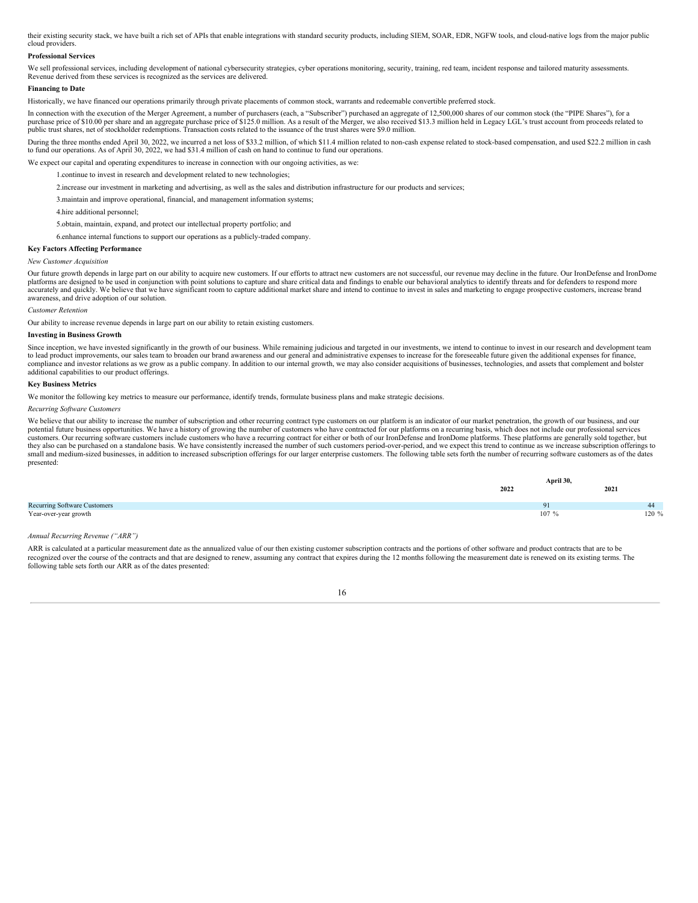their existing security stack, we have built a rich set of APIs that enable integrations with standard security products, including SIEM, SOAR, EDR, NGFW tools, and cloud-native logs from the major public cloud providers.

## **Professional Services**

We sell professional services, including development of national cybersecurity strategies, cyber operations monitoring, security, training, red team, incident response and tailored maturity assessments. Revenue derived from these services is recognized as the services are delivered.

## **Financing to Date**

Historically, we have financed our operations primarily through private placements of common stock, warrants and redeemable convertible preferred stock.

In connection with the execution of the Merger Agreement, a number of purchasers (each, a "Subscriber") purchased an aggregate of 12,500,000 shares of our common stock (the "PIPE Shares"), for a<br>purchase price of \$10.00 pe public trust shares, net of stockholder redemptions. Transaction costs related to the issuance of the trust shares were \$9.0 million.

During the three months ended April 30, 2022, we incurred a net loss of \$33.2 million, of which \$11.4 million related to non-cash expense related to stock-based compensation, and used \$22.2 million in cash to fund our operations. As of April 30, 2022, we had \$31.4 million of cash on hand to continue to fund our operations.

We expect our capital and operating expenditures to increase in connection with our ongoing activities, as we:

- 1.continue to invest in research and development related to new technologies;
- 2.increase our investment in marketing and advertising, as well as the sales and distribution infrastructure for our products and services;
- 3.maintain and improve operational, financial, and management information systems;
- 4.hire additional personnel;
- 5.obtain, maintain, expand, and protect our intellectual property portfolio; and
- 6.enhance internal functions to support our operations as a publicly-traded company.

## **Key Factors Affecting Performance**

## *New Customer Acquisition*

Our future growth depends in large part on our ability to acquire new customers. If our efforts to attract new customers are not successful, our revenue may decline in the future. Our IronDefense and IronDome platforms are designed to be used in conjunction with point solutions to capture and share critical data and findings to enable our behavioral analytics to identify threats and for defenders to respond more accurately and quickly. We believe that we have significant room to capture additional market share and intend to continue to invest in sales and marketing to engage prospective customers, increase brand awareness, and drive adoption of our solution.

## *Customer Retention*

Our ability to increase revenue depends in large part on our ability to retain existing customers.

#### **Investing in Business Growth**

Since inception, we have invested significantly in the growth of our business. While remaining judicious and targeted in our investments, we intend to continue to invest in our research and development team to lead product improvements, our sales team to broaden our brand awareness and our general and administrative expenses to increase for the foreseeable future given the additional expenses for finance, compliance and investor relations as we grow as a public company. In addition to our internal growth, we may also consider acquisitions of businesses, technologies, and assets that complement and bolster additional capabilities to our product offerings.

## **Key Business Metrics**

We monitor the following key metrics to measure our performance, identify trends, formulate business plans and make strategic decisions.

#### *Recurring Software Customers*

We believe that our ability to increase the number of subscription and other recurring contract type customers on our platform is an indicator of our market penetration, the growth of our business, and our potential future business opportunities. We have a history of growing the number of customers who have contracted for our platforms on a recurring basis, which does not include our professional services customers. Our recurring software customers include customers who have a recurring contract for either or both of our IronDefense and IronDome platforms. These platforms are generally sold together, but they also can be purchased on a standalone basis. We have consistently increased the number of such customers period-over-period, and we expect this trend to continue as we increase subscription offerings to the value of s small and medium-sized businesses, in addition to increased subscription offerings for our larger enterprise customers. The following table sets forth the number of recurring software customers as of the dates presented:

|                                     | April 30,      |       |
|-------------------------------------|----------------|-------|
|                                     | 2022           | 2021  |
| <b>Recurring Software Customers</b> | Q <sub>1</sub> |       |
| Year-over-year growth               | 107 %          | 120 % |
|                                     |                |       |

#### *Annual Recurring Revenue ("ARR")*

ARR is calculated at a particular measurement date as the annualized value of our then existing customer subscription contracts and the portions of other software and product contracts that are to be recognized over the course of the contracts and that are designed to renew, assuming any contract that expires during the 12 months following the measurement date is renewed on its existing terms. The following table sets forth our ARR as of the dates presented:

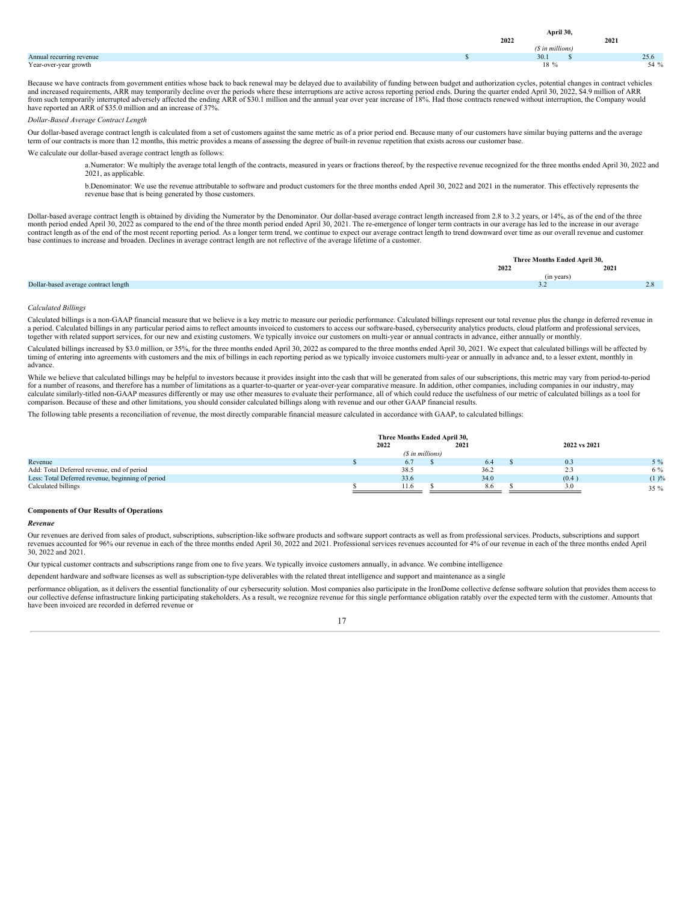|                          |      | April 30.       |      |  |
|--------------------------|------|-----------------|------|--|
|                          | 2022 |                 | 2021 |  |
|                          |      | 'S in millions) |      |  |
| Annual recurring revenue |      | 30.1            | 25.6 |  |
| Year-over-year growth    |      | 18 %            | 54%  |  |

Because we have contracts from government entities whose back to back renewal may be delayed due to availability of funding between budget and authorization cycles, potential changes in contract vehicles and increased requirements, ARR may temporarily decline over the periods where these interruptions are active across reporting period ends. During the quarter ended April 30, 2022, \$4.9 million of ARR<br>from such temporarily have reported an ARR of \$35.0 million and an increase of 37%

## *Dollar-Based Average Contract Length*

Our dollar-based average contract length is calculated from a set of customers against the same metric as of a prior period end. Because many of our customers have similar buying patterns and the average term of our contracts is more than 12 months, this metric provides a means of assessing the degree of built-in revenue repetition that exists across our customer base.

We calculate our dollar-based average contract length as follows:

a.Numerator: We multiply the average total length of the contracts, measured in years or fractions thereof, by the respective revenue recognized for the three months ended April 30, 2022 and 2021, as applicable.

b.Denominator: We use the revenue attributable to software and product customers for the three months ended April 30, 2022 and 2021 in the numerator. This effectively represents the revenue base that is being generated by those customers.

Dollar-based average contract length is obtained by dividing the Numerator by the Denominator. Our dollar-based average contract length increased from 2.8 to 3.2 years, or 14%, as of the end of the three month period ended April 30, 2022 as compared to the end of the three month period ended April 30, 2021. The re-emergence of longer term contracts in our average has led to the increase in our average contract length as of the end of the most recent reporting period. As a longer term trend, we continue to expect our average contract length to trend downward over time as our overall revenue and customer base continues to increase and broaden. Declines in average contract length are not reflective of the average lifetime of a customer.

|                                      |            | Three Months Ended April 30, |  |  |
|--------------------------------------|------------|------------------------------|--|--|
|                                      | 2022       | 2021                         |  |  |
|                                      | (in years) |                              |  |  |
| Dollar-based average contract length | ے ۔        | <u>ີ</u><br>2.8              |  |  |
|                                      |            |                              |  |  |

### *Calculated Billings*

Calculated billings is a non-GAAP financial measure that we believe is a key metric to measure our periodic performance. Calculated billings represent our total revenue plus the change in deferred revenue in a period. Calculated billings in any particular period aims to reflect amounts invoiced to customers to access our software-based, cybersecurity analytics products, cloud platform and professional services, together with related support services, for our new and existing customers. We typically invoice our customers on multi-year or annual contracts in advance, either annually or monthly.

Calculated billings increased by \$3.0 million, or 35%, for the three months ended April 30, 2022 as compared to the three months ended April 30, 2021. We expect that calculated billings will be affected by timing of entering into agreements with customers and the mix of billings in each reporting period as we typically invoice customers multi-year or annually in advance and, to a lesser extent, monthly in advance.

While we believe that calculated billings may be helpful to investors because it provides insight into the cash that will be generated from sales of our subscriptions, this metric may vary from period-to-period for a number of reasons, and therefore has a number of limitations as a quarter-to-quarter or year-over-year comparative measure. In addition, other companies, including companies in our industry, may calculate similarly-titled non-GAAP measures differently or may use other measures to evaluate their performance, all of which could reduce the usefulness of our metric of calculated billings as a tool for comparison. Because of these and other limitations, you should consider calculated billings along with revenue and our other GAAP financial results.

The following table presents a reconciliation of revenue, the most directly comparable financial measure calculated in accordance with GAAP, to calculated billings:

|                                                   | Three Months Ended April 30, |      |  |      |  |              |       |
|---------------------------------------------------|------------------------------|------|--|------|--|--------------|-------|
|                                                   | 2022                         |      |  | 2021 |  | 2022 vs 2021 |       |
|                                                   | (S in millions)              |      |  |      |  |              |       |
| Revenue                                           |                              | 6.7  |  | 6.4  |  | 0.3          | $5\%$ |
| Add: Total Deferred revenue, end of period        |                              | 38.5 |  | 36.2 |  | Z.3          | 6 %   |
| Less: Total Deferred revenue, beginning of period |                              | 33.6 |  | 34.0 |  | (0.4)        | (1)%  |
| Calculated billings                               |                              | 11.6 |  | 8.6  |  | 3.0          | 35%   |

#### **Components of Our Results of Operations**

## *Revenue*

Our revenues are derived from sales of product, subscriptions, subscription-like software products and software support contracts as well as from professional services. Products, subscriptions and support revenues accounted for 96% our revenue in each of the three months ended April 30, 2022 and 2021. Professional services revenues accounted for 4% of our revenue in each of the three months ended April 30, 2022 and 2021.

Our typical customer contracts and subscriptions range from one to five years. We typically invoice customers annually, in advance. We combine intelligence

dependent hardware and software licenses as well as subscription-type deliverables with the related threat intelligence and support and maintenance as a single

performance obligation, as it delivers the essential functionality of our cybersecurity solution. Most companies also participate in the IronDome collective defense software solution that provides them access to our collective defense infrastructure linking participating stakeholders. As a result, we recognize revenue for this single performance obligation ratably over the expected term with the customer. Amounts that have been invoiced are recorded in deferred revenue or

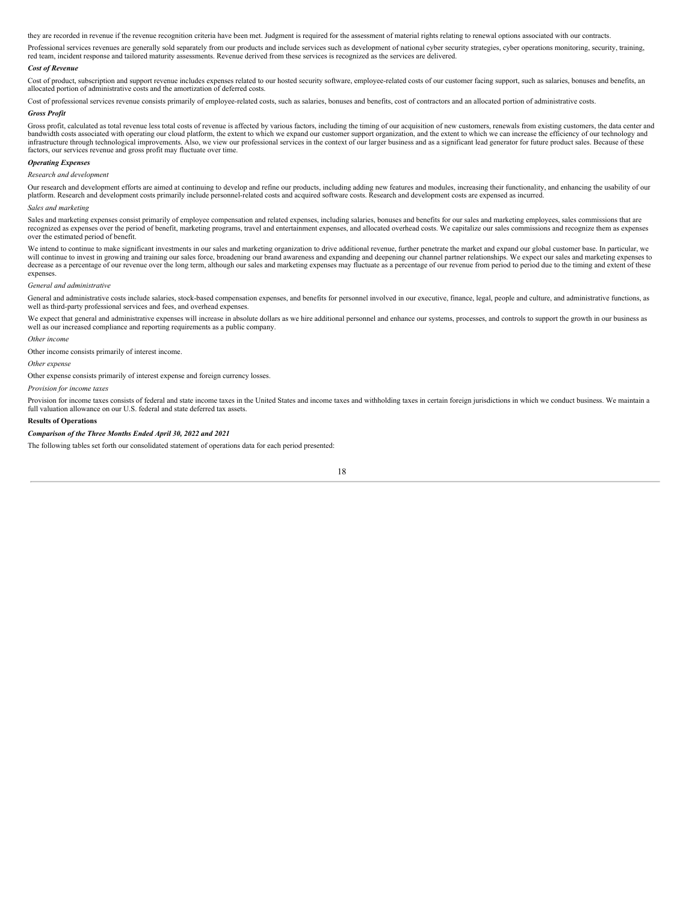they are recorded in revenue if the revenue recognition criteria have been met. Judgment is required for the assessment of material rights relating to renewal options associated with our contracts.

Professional services revenues are generally sold separately from our products and include services such as development of national cyber security strategies, cyber operations monitoring, security, training, red team, incident response and tailored maturity assessments. Revenue derived from these services is recognized as the services are delivered.

## *Cost of Revenue*

Cost of product, subscription and support revenue includes expenses related to our hosted security software, employee-related costs of our customer facing support, such as salaries, bonuses and benefits, an allocated portion of administrative costs and the amortization of deferred costs.

Cost of professional services revenue consists primarily of employee-related costs, such as salaries, bonuses and benefits, cost of contractors and an allocated portion of administrative costs.

## *Gross Profit*

Gross profit, calculated as total revenue less total costs of revenue is affected by various factors, including the timing of our acquisition of new customers, renewals from existing customers, the data center and bandwidth costs associated with operating our cloud platform, the extent to which we expand our customer support organization, and the extent to which we can increase the efficiency of our technology and infrastructure thr factors, our services revenue and gross profit may fluctuate over time.

## *Operating Expenses*

#### *Research and development*

Our research and development efforts are aimed at continuing to develop and refine our products, including adding new features and modules, increasing their functionality, and enhancing the usability of our platform. Research and development costs primarily include personnel-related costs and acquired software costs. Research and development costs are expensed as incurred.

## *Sales and marketing*

Sales and marketing expenses consist primarily of employee compensation and related expenses, including salaries, bonuses and benefits for our sales and marketing employees, sales commissions that are recognized as expenses over the period of benefit, marketing programs, travel and entertainment expenses, and allocated overhead costs. We capitalize our sales commissions and recognize them as expenses over the estimated period of benefit.

We intend to continue to make significant investments in our sales and marketing organization to drive additional revenue, further penetrate the market and expand our global customer base. In particular, we will continue to invest in growing and training our sales force, broadening our brand awareness and expanding and deepening our channel partner relationships. We expect our sales and marketing expenses to<br>decrease as a per expenses.

#### *General and administrative*

General and administrative costs include salaries, stock-based compensation expenses, and benefits for personnel involved in our executive, finance, legal, people and culture, and administrative functions, as well as third-party professional services and fees, and overhead expenses.

We expect that general and administrative expenses will increase in absolute dollars as we hire additional personnel and enhance our systems, processes, and controls to support the growth in our business as well as our increased compliance and reporting requirements as a public company.

#### *Other income*

Other income consists primarily of interest income.

#### *Other expense*

Other expense consists primarily of interest expense and foreign currency losses.

#### *Provision for income taxes*

Provision for income taxes consists of federal and state income taxes in the United States and income taxes and withholding taxes in certain foreign jurisdictions in which we conduct business. We maintain a full valuation allowance on our U.S. federal and state deferred tax assets.

## **Results of Operations**

## *Comparison of the Three Months Ended April 30, 2022 and 2021*

The following tables set forth our consolidated statement of operations data for each period presented:

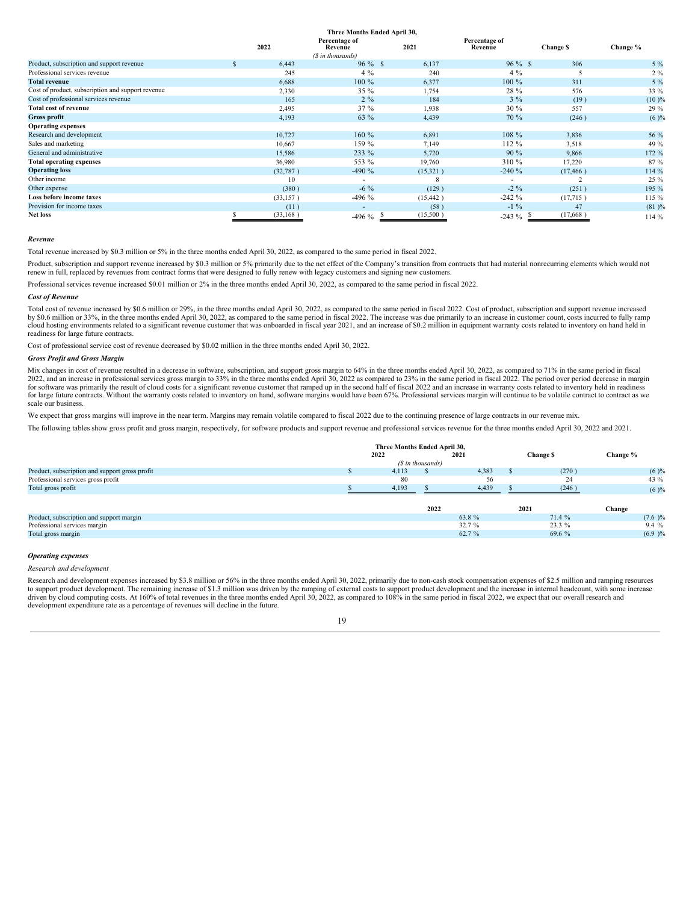|                                                   |             | Three Months Ended April 30,                  |                    |                          |                |           |
|---------------------------------------------------|-------------|-----------------------------------------------|--------------------|--------------------------|----------------|-----------|
|                                                   | 2022        | Percentage of<br>Revenue<br>(\$ in thousands) | 2021               | Percentage of<br>Revenue | Change \$      | Change %  |
| Product, subscription and support revenue         | 6,443<br>S. | $96\%$ \$                                     | 6,137              | $96\%$ \$                | 306            | 5 %       |
| Professional services revenue                     | 245         | $4\%$                                         | 240                | $4\%$                    | 5              | $2\%$     |
| <b>Total revenue</b>                              | 6.688       | $100\%$                                       | 6,377              | $100\%$                  | 311            | $5\%$     |
| Cost of product, subscription and support revenue | 2,330       | $35\%$                                        | 1,754              | 28 %                     | 576            | 33 %      |
| Cost of professional services revenue             | 165         | $2\%$                                         | 184                | $3\%$                    | (19)           | $(10) \%$ |
| <b>Total cost of revenue</b>                      | 2,495       | 37 %                                          | 1,938              | $30\%$                   | 557            | 29 %      |
| <b>Gross profit</b>                               | 4,193       | 63 %                                          | 4,439              | 70 %                     | (246)          | $(6)$ %   |
| <b>Operating expenses</b>                         |             |                                               |                    |                          |                |           |
| Research and development                          | 10,727      | $160 \%$                                      | 6,891              | $108 \%$                 | 3,836          | 56 %      |
| Sales and marketing                               | 10,667      | 159 %                                         | 7,149              | $112 \%$                 | 3,518          | 49 %      |
| General and administrative                        | 15,586      | 233 %                                         | 5,720              | 90%                      | 9,866          | 172 %     |
| <b>Total operating expenses</b>                   | 36,980      | 553 %                                         | 19,760             | 310 %                    | 17,220         | 87 %      |
| <b>Operating loss</b>                             | (32, 787)   | $-490%$                                       | (15,321)           | $-240%$                  | (17, 466)      | 114 %     |
| Other income                                      | 10          | ۰                                             | $\mathbf{\hat{z}}$ | $\overline{\phantom{a}}$ | $\overline{2}$ | $25 \%$   |
| Other expense                                     | (380)       | $-6\%$                                        | (129)              | $-2\%$                   | (251)          | 195 %     |
| Loss before income taxes                          | (33, 157)   | $-496%$                                       | (15, 442)          | $-242%$                  | (17,715)       | 115 %     |
| Provision for income taxes                        | (11)        | ۰                                             | (58)               | $-1\%$                   | 47             | $(81) \%$ |
| Net loss                                          | (33, 168)   | $-496%$                                       | (15,500)           | $-243%$                  | (17,668)       | 114 %     |

#### *Revenue*

Total revenue increased by \$0.3 million or 5% in the three months ended April 30, 2022, as compared to the same period in fiscal 2022.

Product, subscription and support revenue increased by \$0.3 million or 5% primarily due to the net effect of the Company's transition from contracts that had material nonrecurring elements which would not renew in full, replaced by revenues from contract forms that were designed to fully renew with legacy customers and signing new customers.

Professional services revenue increased \$0.01 million or 2% in the three months ended April 30, 2022, as compared to the same period in fiscal 2022.

## *Cost of Revenue*

Total cost of revenue increased by \$0.6 million or 29%, in the three months ended April 30, 2022, as compared to the same period in fiscal 2022. Cost of product, subscription and support revenue increased by \$0.6 million o cloud hosting environments related to a significant revenue customer that was onboarded in fiscal year 2021, and an increase of \$0.2 million in equipment warranty costs related to inventory on hand held in readiness for large future contracts.

Cost of professional service cost of revenue decreased by \$0.02 million in the three months ended April 30, 2022.

## *Gross Profit and Gross Margin*

Mix changes in cost of revenue resulted in a decrease in software, subscription, and support gross margin to 64% in the three months ended April 30, 2022, as compared to 71% in the same period in fiscal 2022, and an increase in professional services gross margin to 33% in the three months ended April 30, 2022 as compared to 23% in the same period in fiscal 2022. The period over period decrease in margin for software was primarily the result of cloud costs for a significant revenue customer that ramped up in the second half of fiscal 2022 and an increase in warranty costs related to inventory held in readiness for large future contracts. Without the warranty costs related to inventory on hand, software margins would have been 67%. Professional services margin will continue to be volatile contract to contract as we scale our business.

We expect that gross margins will improve in the near term. Margins may remain volatile compared to fiscal 2022 due to the continuing presence of large contracts in our revenue mix.

The following tables show gross profit and gross margin, respectively, for software products and support revenue and professional services revenue for the three months ended April 30, 2022 and 2021.

|                                                | Three Months Ended April 30,<br>2022<br>2021<br>(\$ in thousands) |       |      |        | Change S | Change % |        |            |
|------------------------------------------------|-------------------------------------------------------------------|-------|------|--------|----------|----------|--------|------------|
| Product, subscription and support gross profit |                                                                   | 4,113 |      | 4,383  |          | (270)    |        | $(6)$ %    |
| Professional services gross profit             |                                                                   | 80    |      | 56     |          | 24       |        | 43 %       |
| Total gross profit                             |                                                                   | 4,193 |      | 4,439  |          | (246)    |        | $(6)$ %    |
|                                                |                                                                   |       | 2022 |        | 2021     |          | Change |            |
| Product, subscription and support margin       |                                                                   |       |      | 63.8 % |          | 71.4 %   |        | $(7.6)$ %  |
| Professional services margin                   |                                                                   |       |      | 32.7%  |          | 23.3%    |        | 9.4%       |
| Total gross margin                             |                                                                   |       |      | 62.7 % |          | 69.6 %   |        | $(6.9) \%$ |

## *Operating expenses*

*Research and development*

Research and development expenses increased by \$3.8 million or 56% in the three months ended April 30, 2022, primarily due to non-cash stock compensation expenses of \$2.5 million and ramping resources to support product development. The remaining increase of \$1.3 million was driven by the ramping of external costs to support product development and the increase in internal headcount, with some increase<br>driven by cloud c development expenditure rate as a percentage of revenues will decline in the future.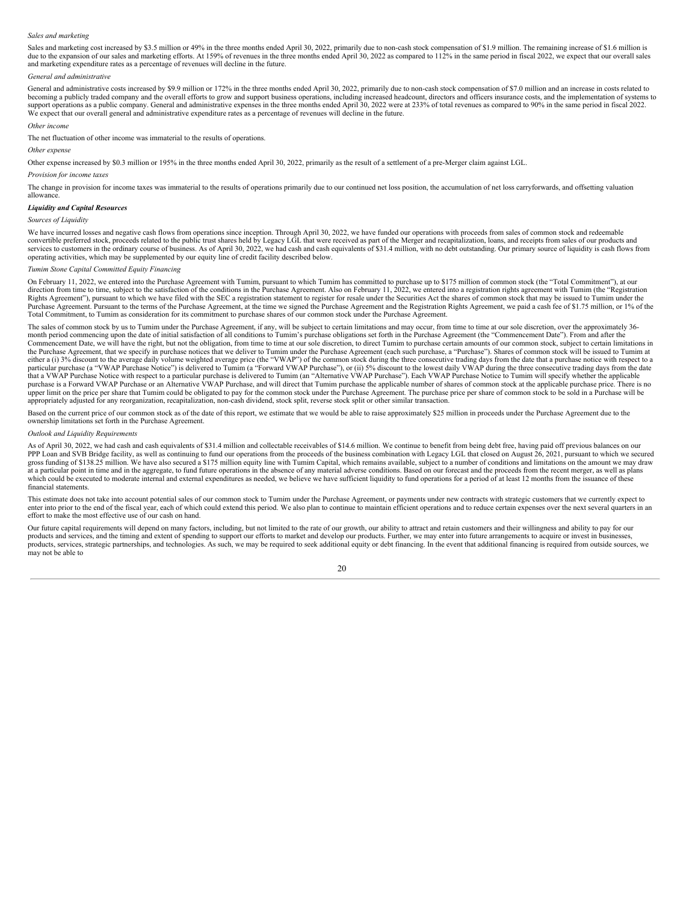#### *Sales and marketing*

Sales and marketing cost increased by \$3.5 million or 49% in the three months ended April 30, 2022, primarily due to non-cash stock compensation of \$1.9 million. The remaining increase of \$1.6 million is due to the expansion of our sales and marketing efforts. At 159% of revenues in the three months ended April 30, 2022 as compared to 112% in the same period in fiscal 2022, we expect that our overall sales and marketing expenditure rates as a percentage of revenues will decline in the future.

#### *General and administrative*

General and administrative costs increased by \$9.9 million or 172% in the three months ended April 30, 2022, primarily due to non-cash stock compensation of \$7.0 million and an increase in costs related to becoming a publi support operations as a public company. General and administrative expenses in the three months ended April 30, 2022 were at 233% of total revenues as compared to 90% in the same period in fiscal 2022. We expect that our overall general and administrative expenditure rates as a percentage of revenues will decline in the future.

## *Other inco*

The net fluctuation of other income was immaterial to the results of operations.

#### *Other expense*

Other expense increased by \$0.3 million or 195% in the three months ended April 30, 2022, primarily as the result of a settlement of a pre-Merger claim against LGL.

#### *Provision for income taxes*

The change in provision for income taxes was immaterial to the results of operations primarily due to our continued net loss position, the accumulation of net loss carryforwards, and offsetting valuation allowance.

## *Liquidity and Capital Resources*

## *Sources of Liquidity*

We have incurred losses and negative cash flows from operations since inception. Through April 30, 2022, we have funded our operations with proceeds from sales of common stock and redeemable convertible preferred stock, proceeds related to the public trust shares held by Legacy LGL that were received as part of the Merger and recapitalization, loans, and receipts from sales of our products and services to customers in the ordinary course of business. As of April 30, 2022, we had cash and cash equivalents of \$31.4 million, with no debt outstanding. Our primary source of liquidity is cash flows from operating activities, which may be supplemented by our equity line of credit facility described below.

#### *Tumim Stone Capital Committed Equity Financing*

On February 11, 2022, we entered into the Purchase Agreement with Tumim, pursuant to which Tumim has committed to purchase up to \$175 million of common stock (the "Total Commitment"), at our direction from time to time, subject to the satisfaction of the conditions in the Purchase Agreement. Also on February 11, 2022, we entered into a registration rights agreement with Tumim (the "Registration Rights Agreement"), pursuant to which we have filed with the SEC a registration statement to register for resale under the Securities Act the shares of common stock that may be issued to Tumim under the Purchase Agreement. Pursuant to the terms of the Purchase Agreement, at the time we signed the Purchase Agreement and the Registration Rights Agreement, we paid a cash fee of \$1.75 million, or 1% of the Total Commitment, to Tumim as consideration for its commitment to purchase shares of our common stock under the Purchase Agreement.

The sales of common stock by us to Tumim under the Purchase Agreement, if any, will be subject to certain limitations and may occur, from time to time at our sole discretion, over the approximately 36 month period commencing upon the date of initial satisfaction of all conditions to Tumim's purchase obligations set forth in the Purchase Agreement (the "Commencement Date"). From and after the Commencement Date, we will have the right, but not the obligation, from time to time at our sole discretion, to direct Tumim to purchase certain amounts of our common stock, subject to certain limitations in the Purchase Agreement, that we specify in purchase notices that we deliver to Tumim under the Purchase Agreement (each such purchase, a "Purchase"). Shares of common stock will be issued to Tumim at either a (i) 3% discount to the average daily volume weighted average price (the "VWAP") of the common stock during the three consecutive trading days from the date that a purchase notice with respect to a<br>particular purch that a VWAP Purchase Notice with respect to a particular purchase is delivered to Tumim (an "Alternative VWAP Purchase"). Each VWAP Purchase Notice to Tumim will specify whether the applicable purchase is a Forward VWAP Pu upper limit on the price per share that Tumim could be obligated to pay for the common stock under the Purchase Agreement. The purchase price per share of common stock to be sold in a Purchase will be appropriately adjusted for any reorganization, recapitalization, non-cash dividend, stock split, reverse stock split or other similar transaction.

Based on the current price of our common stock as of the date of this report, we estimate that we would be able to raise approximately \$25 million in proceeds under the Purchase Agreement due to the ownership limitations set forth in the Purchase Agreement.

## *Outlook and Liquidity Requirements*

As of April 30, 2022, we had cash and cash equivalents of \$31.4 million and collectable receivables of \$14.6 million. We continue to benefit from being debt free, having paid off previous balances on our PPP Loan and SVB Bridge facility, as well as continuing to fund our operations from the proceeds of the business combination with Legacy LGL that closed on August 26, 2021, pursuant to which we secured gross funding of \$138.25 million. We have also secured a \$175 million equity line with Tumim Capital, which remains available, subject to a number of conditions and limitations on the amount we may draw<br>at a particular poi which could be executed to moderate internal and external expenditures as needed, we believe we have sufficient liquidity to fund operations for a period of at least 12 months from the issuance of these financial statements.

This estimate does not take into account potential sales of our common stock to Tumim under the Purchase Agreement, or payments under new contracts with strategic customers that we currently expect to enter into prior to the end of the fiscal year, each of which could extend this period. We also plan to continue to maintain efficient operations and to reduce certain expenses over the next several quarters in an effort to make the most effective use of our cash on hand.

Our future capital requirements will depend on many factors, including, but not limited to the rate of our growth, our ability to attract and retain customers and their willingness and ability to pay for our products and services, and the timing and extent of spending to support our efforts to market and develop our products. Further, we may enter into future arrangements to acquire or invest in businesses, products, services, strategic partnerships, and technologies. As such, we may be required to seek additional equity or debt financing. In the event that additional financing is required from outside sources, we may not be able to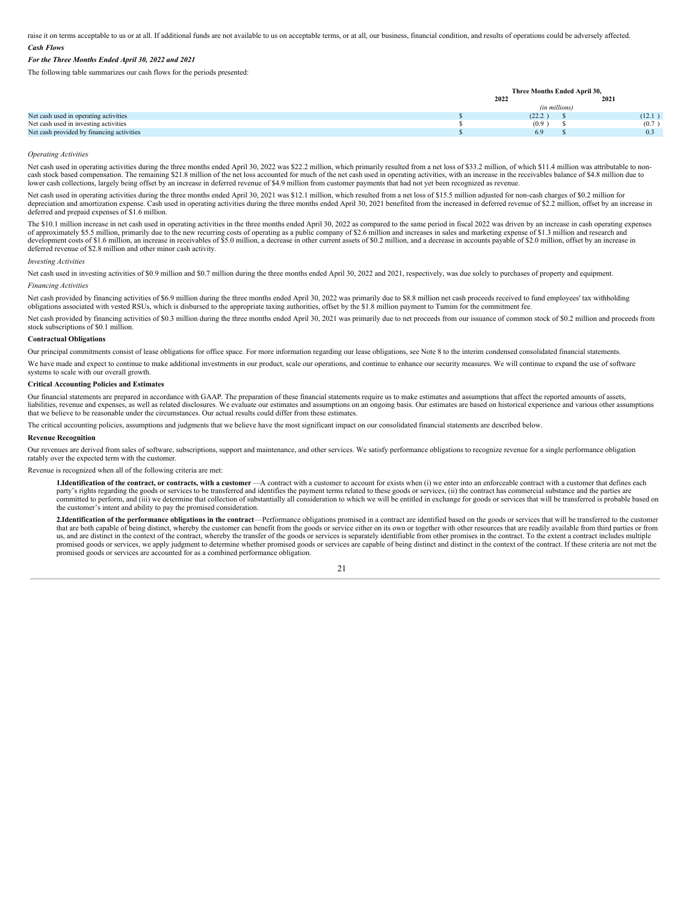raise it on terms acceptable to us or at all. If additional funds are not available to us on acceptable terms, or at all, our business, financial condition, and results of operations could be adversely affected.

## *Cash Flows*

## *For the Three Months Ended April 30, 2022 and 2021*

The following table summarizes our cash flows for the periods presented:

|                                           |              | Three Months Ended April 30, |  |        |  |
|-------------------------------------------|--------------|------------------------------|--|--------|--|
|                                           | 2021<br>2022 |                              |  |        |  |
|                                           |              | (in millions)                |  |        |  |
| Net cash used in operating activities     |              | (22.2)                       |  | (12.1) |  |
| Net cash used in investing activities     |              | (0.9)                        |  | (0.7)  |  |
| Net cash provided by financing activities |              | 6.9                          |  | 0.3    |  |

#### *Operating Activities*

Net cash used in operating activities during the three months ended April 30, 2022 was \$22.2 million, which primarily resulted from a net loss of \$33.2 million, of which \$11.4 million was attributable to noncash stock based compensation. The remaining \$21.8 million of the net loss accounted for much of the net cash used in operating activities, with an increase in the receivables balance of \$4.8 million due to lower cash collections, largely being offset by an increase in deferred revenue of \$4.9 million from customer payments that had not yet been recognized as revenue.

Net cash used in operating activities during the three months ended April 30, 2021 was \$12.1 million, which resulted from a net loss of \$15.5 million adjusted for non-cash charges of \$0.2 million for depreciation and amortization expense. Cash used in operating activities during the three months ended April 30, 2021 benefited from the increased in deferred revenue of \$2.2 million, offset by an increase in deferred and prepaid expenses of \$1.6 million.

The \$10.1 million increase in net cash used in operating activities in the three months ended April 30, 2022 as compared to the same period in fiscal 2022 was driven by an increase in cash operating expenses of approximately \$5.5 million, primarily due to the new recurring costs of operating as a public company of \$2.6 million and increases in sales and marketing expense of \$1.3 million and research and development costs of \$1.6 million, an increase in receivables of \$5.0 million, a decrease in other current assets of \$0.2 million, and a decrease in accounts payable of \$2.0 million, offset by an increase in deferred revenue of \$2.8 million and other minor cash activity.

#### *Investing Activities*

Net cash used in investing activities of \$0.9 million and \$0.7 million during the three months ended April 30, 2022 and 2021, respectively, was due solely to purchases of property and equipment.

*Financing Activities*

Net cash provided by financing activities of \$6.9 million during the three months ended April 30, 2022 was primarily due to \$8.8 million net cash proceeds received to fund employees' tax withholding obligations associated with vested RSUs, which is disbursed to the appropriate taxing authorities, offset by the \$1.8 million payment to Tumim for the commitment fee.

Net cash provided by financing activities of \$0.3 million during the three months ended April 30, 2021 was primarily due to net proceeds from our issuance of common stock of \$0.2 million and proceeds from stock subscriptions of \$0.1 million.

## **Contractual Obligations**

Our principal commitments consist of lease obligations for office space. For more information regarding our lease obligations, see Note 8 to the interim condensed consolidated financial statements.

We have made and expect to continue to make additional investments in our product, scale our operations, and continue to enhance our security measures. We will continue to expand the use of software systems to scale with our overall growth.

### **Critical Accounting Policies and Estimates**

Our financial statements are prepared in accordance with GAAP. The preparation of these financial statements require us to make estimates and assumptions that affect the reported amounts of assets, liabilities, revenue and expenses, as well as related disclosures. We evaluate our estimates and assumptions on an ongoing basis. Our estimates are based on historical experience and various other assumptions that we believe to be reasonable under the circumstances. Our actual results could differ from these estimates.

The critical accounting policies, assumptions and judgments that we believe have the most significant impact on our consolidated financial statements are described below.

#### **Revenue Recognition**

Our revenues are derived from sales of software, subscriptions, support and maintenance, and other services. We satisfy performance obligations to recognize revenue for a single performance obligation ratably over the expected term with the customer.

Revenue is recognized when all of the following criteria are met:

1.Identification of the contract, or contracts, with a customer - A contract with a customer to account for exists when (i) we enter into an enforceable contract with a customer that defines each party's rights regarding the goods or services to be transferred and identifies the payment terms related to these goods or services, (ii) the contract has commercial substance and the parties are committed to perform, and (iii) we determine that collection of substantially all consideration to which we will be entitled in exchange for goods or services that will be transferred is probable based on the customer's intent and ability to pay the promised consideration.

2.Identification of the performance obligations in the contract-Performance obligations promised in a contract are identified based on the goods or services that will be transferred to the customer that are both capable of being distinct, whereby the customer can benefit from the goods or service either on its own or together with other resources that are readily available from third parties or from us, and are distinct in the context of the contract, whereby the transfer of the goods or services is separately identifiable from other promises in the contract. To the extent a contract includes multiple promised goods or services, we apply judgment to determine whether promised goods or services are capable of being distinct and distinct in the context of the contract. If these criteria are not met the promised goods or services are accounted for as a combined performance obligation.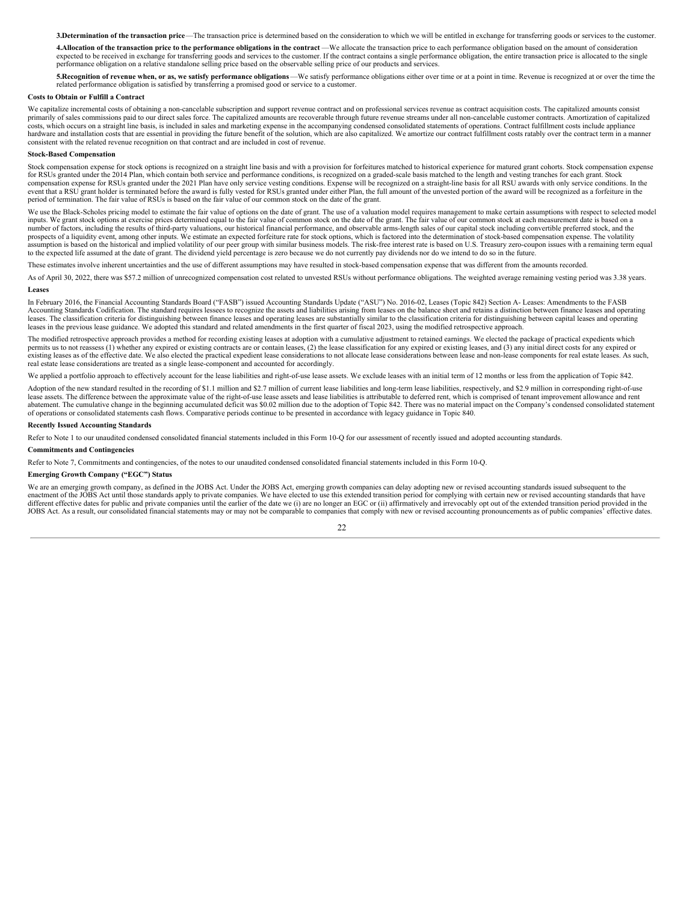3.Determination of the transaction price—The transaction price is determined based on the consideration to which we will be entitled in exchange for transferring goods or services to the customer.

4. Allocation of the transaction price to the performance obligations in the contract -- We allocate the transaction price to each performance obligation based on the amount of consideration expected to be received in exchange for transferring goods and services to the customer. If the contract contains a single performance obligation, the entire transaction price is allocated to the single expected to be rece performance obligation on a relative standalone selling price based on the observable selling price of our products and services.

5. Recognition of revenue when, or as, we satisfy performance obligations—We satisfy performance obligations either over time or at a point in time. Revenue is recognized at or over the time the related performance obligation is satisfied by transferring a promised good or service to a customer.

## **Costs to Obtain or Fulfill a Contract**

We capitalize incremental costs of obtaining a non-cancelable subscription and support revenue contract and on professional services revenue as contract acquisition costs. The capitalized amounts consist<br>primarily of sales costs, which occurs on a straight line basis, is included in sales and marketing expense in the accompanying condensed consolidated statements of operations. Contract fulfillment costs include appliance hardware and installation costs that are essential in providing the future benefit of the solution, which are also capitalized. We amortize our contract fulfillment costs ratably over the contract term in a manner consiste

## **Stock-Based Compensation**

Stock compensation expense for stock options is recognized on a straight line basis and with a provision for forfeitures matched to historical experience for matured grant cohorts. Stock compensation expense or for RSUs granted under the 2014 Plan, which contain both service and performance conditions, is recognized on a graded-scale basis matched to the length and vesting tranches for each grant. Stock compensation expense for RSUs granted under the 2021 Plan have only service vesting conditions. Expense will be recognized on a straight-line basis for all RSU awards with only service conditions. In the event that a RSU grant holder is terminated before the award is fully vested for RSUs granted under either Plan, the full amount of the unvested portion of the award will be recognized as a forfeiture in the period of term

We use the Black-Scholes pricing model to estimate the fair value of options on the date of grant. The use of a valuation model requires management to make certain assumptions with respect to selected model<br>inputs. We gran number of factors, including the results of third-party valuations, our historical financial performance, and observable arms-length sales of our capital stock including convertible preferred stock, and the prospects of a liquidity event, among other inputs. We estimate an expected forfeiture rate for stock options, which is factored into the determination of stock-based compensation expense. The volatility<br>assumption is base to the expected life assumed at the date of grant. The dividend yield percentage is zero because we do not currently pay dividends nor do we intend to do so in the future.

These estimates involve inherent uncertainties and the use of different assumptions may have resulted in stock-based compensation expense that was different from the amounts recorded.

As of April 30, 2022, there was \$57.2 million of unrecognized compensation cost related to unvested RSUs without performance obligations. The weighted average remaining vesting period was 3.38 years. **Leases**

In February 2016, the Financial Accounting Standards Board ("FASB") issued Accounting Standards Update ("ASU") No. 2016-02, Leases (Topic 842) Section A- Leases: Amendments to the FASB Accounting Standards Codification. The standard requires lessees to recognize the assets and liabilities arising from leases on the balance sheet and retains a distinction between finance leases and operating leases. The classification criteria for distinguishing between finance leases and operating leases are substantially similar to the classification criteria for distinguishing between capital leases and operating leases in the previous lease guidance. We adopted this standard and related amendments in the first quarter of fiscal 2023, using the modified retrospective approach.

The modified retrospective approach provides a method for recording existing leases at adoption with a cumulative adjustment to retained earnings. We elected the package of practical expedients which permits us to not reassess (1) whether any expired or existing contracts are or contain leases, (2) the lease classification for any expired or existing leases, and (3) any initial direct costs for any expired or existing leases as of the effective date. We also elected the practical expedient lease considerations to not allocate lease considerations between lease and non-lease components for real estate leases. As such, real estate lease considerations are treated as a single lease-component and accounted for accordingly.

We applied a portfolio approach to effectively account for the lease liabilities and right-of-use lease assets. We exclude leases with an initial term of 12 months or less from the application of Topic 842.

Adoption of the new standard resulted in the recording of \$1.1 million and \$2.7 million of current lease liabilities and long-term lease liabilities, respectively, and \$2.9 million in corresponding right-of-use lease assets. The difference between the approximate value of the right-of-use lease assets and lease liabilities is attributable to deferred rent, which is comprised of tenant improvement allowance and rent<br>abatement. The of operations or consolidated statements cash flows. Comparative periods continue to be presented in accordance with legacy guidance in Topic 840.

## **Recently Issued Accounting Standards**

Refer to Note 1 to our unaudited condensed consolidated financial statements included in this Form 10-O for our assessment of recently issued and adopted accounting standards.

## **Commitments and Contingencies**

Refer to Note 7, Commitments and contingencies, of the notes to our unaudited condensed consolidated financial statements included in this Form 10-Q.

#### **Emerging Growth Company ("EGC") Status**

We are an emerging growth company, as defined in the JOBS Act. Under the JOBS Act, emerging growth companies can delay adopting new or revised accounting standards issued subsequent to the enactment of the JOBS Act until those standards apply to private companies. We have elected to use this extended transition period for complying with certain new or revised accounting standards that have different effective dates for public and private companies until the earlier of the date we (i) are no longer an EGC or (ii) affirmatively and irrevocably opt out of the extended transition period provided in the<br>JOBS Act.

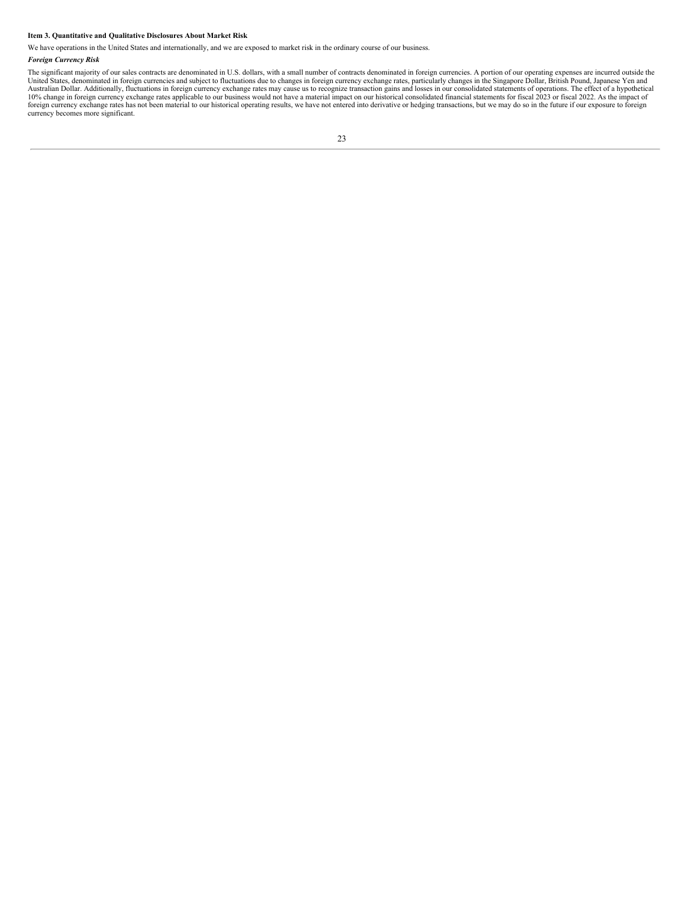## <span id="page-23-0"></span>**Item 3. Quantitative and Qualitative Disclosures About Market Risk**

We have operations in the United States and internationally, and we are exposed to market risk in the ordinary course of our business.

## *Foreign Currency Risk*

The significant majority of our sales contracts are denominated in U.S. dollars, with a small number of contracts denominated in foreign currencies. A portion of our operating expenses are incurred outside the<br>United State Australian Dollar. Additionally, fluctuations in foreign currency exchange rates may cause us to recognize transaction gains and losses in our consolidated statements of operations. The effect of a hypothetical properticia currency becomes more significant.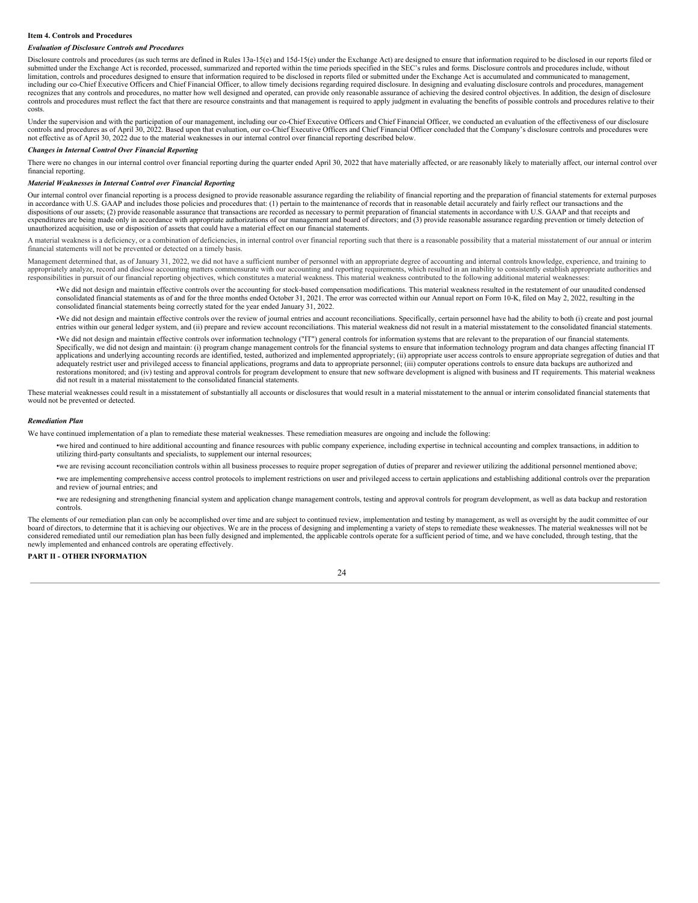#### <span id="page-24-0"></span>**Item 4. Controls and Procedures**

## *Evaluation of Disclosure Controls and Procedures*

Disclosure controls and procedures (as such terms are defined in Rules 13a-15(e) and 15d-15(e) under the Exchange Act) are designed to ensure that information required to be disclosed in our reports filed or submitted under the Exchange Act is recorded, processed, summarized and reported within the time periods specified in the SEC's rules and forms. Disclosure controls and procedures include, without<br>limitation, controls and including our co-Chief Executive Officers and Chief Financial Officer, to allow timely decisions regarding required disclosure. In designing and evaluating disclosure controls and procedures, management recognizes that any controls and procedures, no matter how well designed and operated, can provide only reasonable assurance of achieving the desired control objectives. In addition, the design of disclosure controls and procedures must reflect the fact that there are resource constraints and that management is required to apply judgment in evaluating the benefits of possible controls and procedures relative to their costs.

Under the supervision and with the participation of our management, including our co-Chief Executive Officers and Chief Financial Officer, we conducted an evaluation of the effectiveness of our disclosure controls and procedures as of April 30, 2022. Based upon that evaluation, our co-Chief Executive Officers and Chief Financial Officer concluded that the Company's disclosure controls and procedures were not effective as of April 30, 2022 due to the material weaknesses in our internal control over financial reporting described below.

## *Changes in Internal Control Over Financial Reporting*

There were no changes in our internal control over financial reporting during the quarter ended April 30, 2022 that have materially affected, or are reasonably likely to materially affect, our internal control over financial reporting.

#### *Material Weaknesses in Internal Control over Financial Reporting*

Our internal control over financial reporting is a process designed to provide reasonable assurance regarding the reliability of financial reporting and the preparation of financial statements for external purposes in accordance with U.S. GAAP and includes those policies and procedures that: (1) pertain to the maintenance of records that in reasonable detail accurately and fairly reflect our transactions and the dispositions of our assets; (2) provide reasonable assurance that transactions are recorded as necessary to permit preparation of financial statements in accordance with U.S. GAAP and that receipts and expenditures are bei unauthorized acquisition, use or disposition of assets that could have a material effect on our financial statements.

A material weakness is a deficiency, or a combination of deficiencies, in internal control over financial reporting such that there is a reasonable possibility that a material misstatement of our annual or interim financial statements will not be prevented or detected on a timely basis.

Management determined that, as of January 31, 2022, we did not have a sufficient number of personnel with an appropriate degree of accounting and internal controls knowledge, experience, and training to appropriately analyze, record and disclose accounting matters commensurate with our accounting and reporting requirements, which resulted in an inability to consistently establish appropriate authorities and responsibilities in pursuit of our financial reporting objectives, which constitutes a material weakness. This material weakness contributed to the following additional material weaknesses:

•We did not design and maintain effective controls over the accounting for stock-based compensation modifications. This material weakness resulted in the restatement of our unaudited condensed consolidated financial statements as of and for the three months ended October 31, 2021. The error was corrected within our Annual report on Form 10-K, filed on May 2, 2022, resulting in the consolidated financial statements being correctly stated for the year ended January 31, 2022.

•We did not design and maintain effective controls over the review of journal entries and account reconciliations. Specifically, certain personnel have had the ability to both (i) create and post journal entries within our general ledger system, and (ii) prepare and review account reconciliations. This material weakness did not result in a material misstatement to the consolidated financial statements.

•We did not design and maintain effective controls over information technology ("IT") general controls for information systems that are relevant to the preparation of our financial statements.<br>Specifically, we did not desi applications and underlying accounting records are identified, tested, authorized and implemented appropriately; (ii) appropriate user access controls to ensure appropriate segregation of duties and that adequately restrict user and privileged access to financial applications, programs and data to appropriate personnel; (iii) computer operations controls to ensure data backups are authorized and restorations monitored; and (iv) testing and approval controls for program development to ensure that new software development is aligned with business and IT requirements. This material weakness did not result in a material misstatement to the consolidated financial statements.

These material weaknesses could result in a misstatement of substantially all accounts or disclosures that would result in a material misstatement to the annual or interim consolidated financial statements that would not be prevented or detected.

## *Remediation Plan*

We have continued implementation of a plan to remediate these material weaknesses. These remediation measures are ongoing and include the following:

•we hired and continued to hire additional accounting and finance resources with public company experience, including expertise in technical accounting and complex transactions, in addition to utilizing third-party consultants and specialists, to supplement our internal resources;

•we are revising account reconciliation controls within all business processes to require proper segregation of duties of preparer and reviewer utilizing the additional personnel mentioned above;

•we are implementing comprehensive access control protocols to implement restrictions on user and privileged access to certain applications and establishing additional controls over the preparation and review of journal entries; and

•we are redesigning and strengthening financial system and application change management controls, testing and approval controls for program development, as well as data backup and restoration controls.

The elements of our remediation plan can only be accomplished over time and are subject to continued review, implementation and testing by management, as well as oversight by the audit committee of our<br>board of directors, considered remediated until our remediation plan has been fully designed and implemented, the applicable controls operate for a sufficient period of time, and we have concluded, through testing, that the newly implemented and enhanced controls are operating effectively.

## <span id="page-24-1"></span>**PART II - OTHER INFORMATION**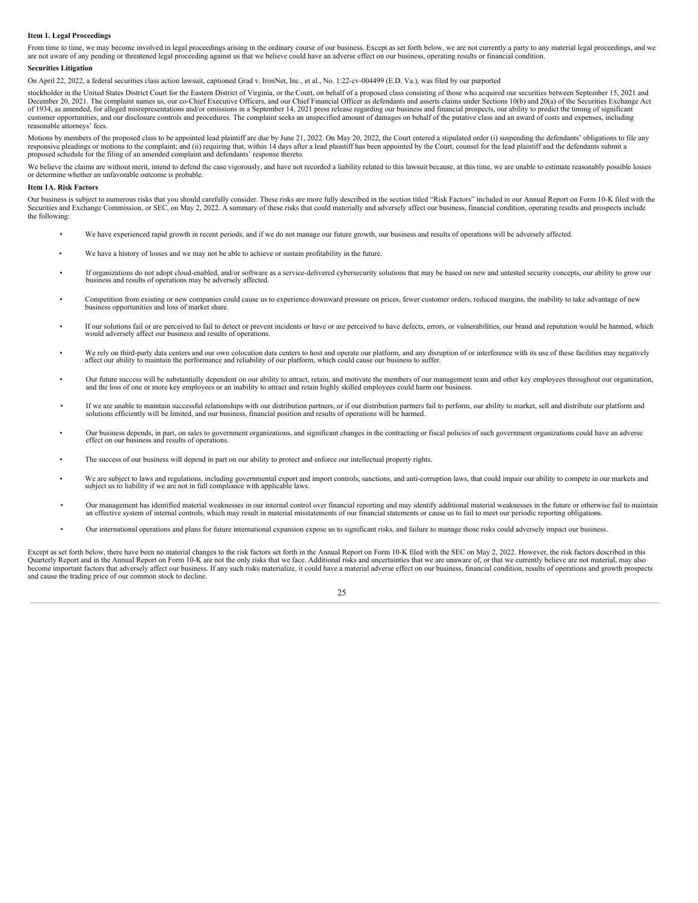## <span id="page-25-0"></span>**Item 1. Legal Proceedings**

From time to time, we may become involved in legal proceedings arising in the ordinary course of our business. Except as set forth below, we are not currently a party to any material legal proceedings, and we are not aware of any pending or threatened legal proceeding against us that we believe could have an adverse effect on our business, operating results or financial condition.

## **Securities Litigation**

On April 22, 2022, a federal securities class action lawsuit, captioned Grad v. IronNet, Inc., et al., No. 1:22-cv-004499 (E.D. Va.), was filed by our purported

stockholder in the United States District Court for the Eastern District of Virginia, or the Court, on behalf of a proposed class consisting of those who acquired our securities between September 15, 2021 and December 20, 2021. The complaint names us, our co-Chief Executive Officers, and our Chief Financial Officer as defendants and asserts claims under Sections 10(b) and 20(a) of the Securities Exchange Act of 1934, as amended, for alleged misrepresentations and/or omissions in a September 14, 2021 press release regarding our business and financial prospects, our ability to predict the timing of significant customer opportuni reasonable attorneys' fees.

Motions by members of the proposed class to be appointed lead plaintiff are due by June 21, 2022. On May 20, 2022, the Court entered a stipulated order (i) suspending the defendants' obligations to file any responsive pleadings or motions to the complaint; and (ii) requiring that, within 14 days after a lead plaintiff has been appointed by the Court, counsel for the lead plaintiff and the defendants submit a proposed schedule for the filing of an amended complaint and defendants' response thereto.

We believe the claims are without merit, intend to defend the case vigorously, and have not recorded a liability related to this lawsuit because, at this time, we are unable to estimate reasonably possible losses or determine whether an unfavorable outcome is probable.

## <span id="page-25-1"></span>**Item 1A. Risk Factors**

Our business is subject to numerous risks that you should carefully consider. These risks are more fully described in the section titled "Risk Factors" included in our Annual Report on Form 10-K filed with the Securities and Exchange Commission, or SEC, on May 2, 2022. A summary of these risks that could materially and adversely affect our business, financial condition, operating results and prospects include the following:

- We have experienced rapid growth in recent periods, and if we do not manage our future growth, our business and results of operations will be adversely affected.
- We have a history of losses and we may not be able to achieve or sustain profitability in the future.
- If organizations do not adopt cloud-enabled, and/or software as a service-delivered cybersecurity solutions that may be based on new and untested security concepts, our ability to grow our business and results of operations may be adversely affected.
- Competition from existing or new companies could cause us to experience downward pressure on prices, fewer customer orders, reduced margins, the inability to take advantage of new<br>business opportunities and loss of marke
- If our solutions fail or are perceived to fail to detect or prevent incidents or have or are perceived to have defects, errors, or vulnerabilities, our brand and reputation would be harmed, which would adversely affect our business and results of operations.
- We rely on third-party data centers and our own colocation data centers to host and operate our platform, and any disruption of or interference with its use of these facilities may negatively affect our ability to mainta
- Our future success will be substantially dependent on our ability to attract, retain, and motivate the members of our management team and other key employees throughout our organization, and the loss of one or more key employees or an inability to attract and retain highly skilled employees could harm our business.
- If we are unable to maintain successful relationships with our distribution partners, or if our distribution partners fail to perform, our ability to market, sell and distribute our platform and solutions efficiently will be limited, and our business, financial position and results of operations will be harmed.
- Our business depends, in part, on sales to government organizations, and significant changes in the contracting or fiscal policies of such government organizations could have an adverse effect on our business and results of operations.
- The success of our business will depend in part on our ability to protect and enforce our intellectual property rights.
- We are subject to laws and regulations, including governmental export and import controls, sanctions, and anti-corruption laws, that could impair our ability to compete in our markets and subject us to liability if we are not in full compliance with applicable laws.
- Our management has identified material weaknesses in our internal control over financial reporting and may identify additional material weaknesses in the future or otherwise fail to maintain an effective system of internal controls, which may result in material misstatements of our financial statements or cause us to fail to meet our periodic reporting obligations.
- Our international operations and plans for future international expansion expose us to significant risks, and failure to manage those risks could adversely impact our business.

Except as set forth below, there have been no material changes to the risk factors set forth in the Annual Report on Form 10-K filed with the SEC on May 2, 2022. However, the risk factors described in this Quarterly Report and in the Annual Report on Form 10-K are not the only risks that we face. Additional risks and uncertainties that we are unaware of, or that we currently believe are not material, may also become important factors that adversely affect our business. If any such risks materialize, it could have a material adverse effect on our business, financial condition, results of operations and growth prospects and cause the trading price of our common stock to decline.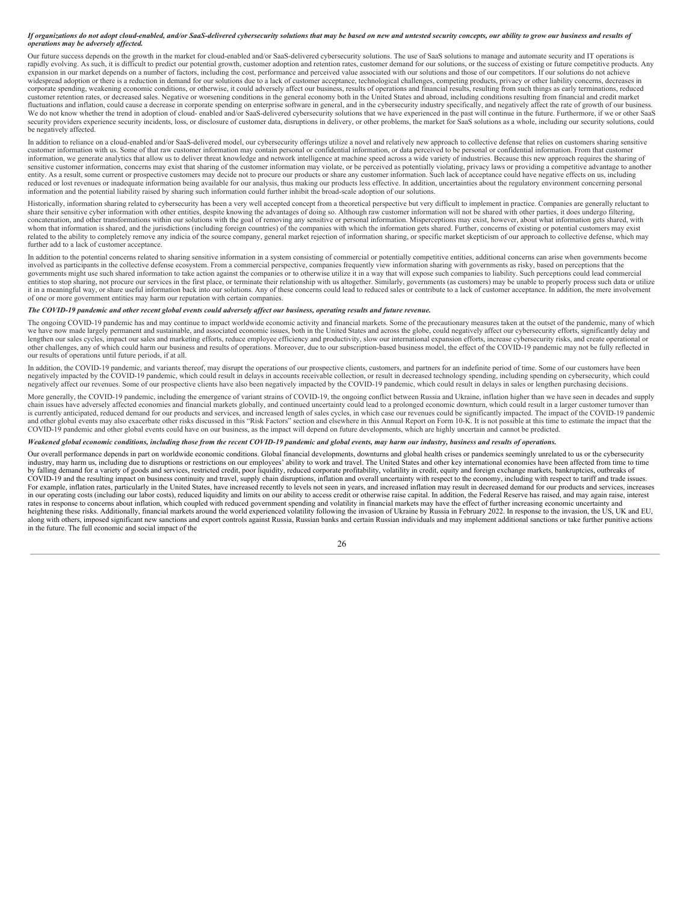## If organizations do not adopt cloud-enabled, and/or SaaS-delivered cybersecurity solutions that may be based on new and untested security concepts, our ability to grow our business and results of *operations may be adversely af ected.*

Our future success depends on the growth in the market for cloud-enabled and/or SaaS-delivered cybersecurity solutions. The use of SaaS solutions to manage and automate security and IT operations is rapidly evolving. As such, it is difficult to predict our potential growth, customer adoption and retention rates, customer demand for our solutions, or the success of existing or future competitive products. Any expansion in our market depends on a number of factors, including the cost, performance and perceived value associated with our solutions and those of our competitors. If our solutions do not achieve widespread adoption or there is a reduction in demand for our solutions due to a lack of customer acceptance, technological challenges, competing products, privacy or other liability concerns, decreases in corporate spending, weakening economic conditions, or otherwise, it could adversely affect our business, results of operations and financial results, resulting from such things as early terminations, reduced customer reten fluctuations and inflation, could cause a decrease in corporate spending on enterprise software in general, and in the cybersecurity industry specifically, and negatively affect the rate of growth of our busines We do not know whether the trend in adoption of cloud- enabled and/or SaaS-delivered cybersecurity solutions that we have experienced in the past will continue in the future. Furthermore, if we or other SaaS security providers experience security incidents, loss, or disclosure of customer data, disruptions in delivery, or other problems, the market for SaaS solutions as a whole, including our security solutions, could be negatively affected.

In addition to reliance on a cloud-enabled and/or SaaS-delivered model, our cybersecurity offerings utilize a novel and relatively new approach to collective defense that relies on customers sharing sensitive customer information with us. Some of that raw customer information may contain personal or confidential information, or data perceived to be personal or confidential information. From that customer information, we generate analytics that allow us to deliver threat knowledge and network intelligence at machine speed across a wide variety of industries. Because this new approach requires the sharing of sensitive customer information, concerns may exist that sharing of the customer information may violate, or be perceived as potentially violating, privacy laws or providing a competitive advantage to another entity. As a result, some current or prospective customers may decide not to procure our products or share any customer information. Such lack of acceptance could have negative effects on us, including reduced or lost revenues or inadequate information being available for our analysis, thus making our products less effective. In addition, uncertainties about the regulatory environment concerning personal information and the potential liability raised by sharing such information could further inhibit the broad-scale adoption of our solutions.

Historically, information sharing related to cybersecurity has been a very well accepted concept from a theoretical perspective but very difficult to implement in practice. Companies are generally reluctant to share their sensitive cyber information with other entities, despite knowing the advantages of doing so. Although raw customer information will not be shared with other parties, it does undergo filtering,<br>concatenation, an whom that information is shared, and the jurisdictions (including foreign countries) of the companies with which the information gets shared. Further, concerns of existing or potential customers may exist related to the ability to completely remove any indicia of the source company, general market rejection of information sharing, or specific market skepticism of our approach to collective defense, which may further add to a lack of customer acceptance.

In addition to the potential concerns related to sharing sensitive information in a system consisting of commercial or potentially competitive entities, additional concerns can arise when governments become involved as par governments might use such shared information to take action against the companies or to otherwise utilize it in a way that will expose such companies to liability. Such perceptions could lead commercial entities to stop sharing, not procure our services in the first place, or terminate their relationship with us altogether. Similarly, governments (as customers) may be unable to properly process such data or utilize it in a meaningful way, or share useful information back into our solutions. Any of these concerns could lead to reduced sales or contribute to a lack of customer acceptance. In addition, the mere involvement of one or more government entities may harm our reputation with certain companies.

#### The COVID-19 pandemic and other recent global events could adversely affect our business, operating results and future revenue.

The ongoing COVID-19 pandemic has and may continue to impact worldwide economic activity and financial markets. Some of the precautionary measures taken at the outset of the pandemic, many of which we have now made largely permanent and sustainable, and associated economic issues, both in the United States and across the globe, could negatively affect our cybersecurity efforts, significantly delay and we have now mad lengthen our sales cycles, impact our sales and marketing efforts, reduce employee efficiency and productivity, slow our international expansion efforts, increase cybersecurity risks, and create operational or other challenges, any of which could harm our business and results of operations. Moreover, due to our subscription-based business model, the effect of the COVID-19 pandemic may not be fully reflected in our results of operations until future periods, if at all.

In addition, the COVID-19 pandemic, and variants thereof, may disrupt the operations of our prospective clients, customers, and partners for an indefinite period of time. Some of our customers have been negatively impacted by the COVID-19 pandemic, which could result in delays in accounts receivable collection, or result in decreased technology spending, including spending on cybersecurity, which could negatively affect our revenues. Some of our prospective clients have also been negatively impacted by the COVID-19 pandemic, which could result in delays in sales or lengthen purchasing decisions.

More generally, the COVID-19 pandemic, including the emergence of variant strains of COVID-19, the ongoing conflict between Russia and Ukraine, inflation higher than we have seen in decades and supply chain issues have adversely affected economies and financial markets globally, and continued uncertainty could lead to a prolonged economic downturn, which could result in a larger customer turnover than<br>is currently antic and other global events may also exacerbate other risks discussed in this "Risk Factors" section and elsewhere in this Annual Report on Form 10-K. It is not possible at this time to estimate the impact that the COVID-19 pandemic and other global events could have on our business, as the impact will depend on future developments, which are highly uncertain and cannot be predicted.

## Weakened global economic conditions, including those from the recent COVID-19 pandemic and global events, may harm our industry, business and results of operations.

Our overall performance depends in part on worldwide economic conditions. Global financial developments, downturns and global health crises or pandemics seemingly unrelated to us or the cybersecurity industry, may harm us, including due to disruptions or restrictions on our employees' ability to work and travel. The United States and other key international economies have been affected from time to time<br>by falling dema COVID-19 and the resulting impact on business continuity and travel, supply chain disruptions, inflation and overall uncertainty with respect to the economy, including with respect to tariff and trade issues. For example, inflation rates, particularly in the United States, have increased recently to levels not seen in years, and increased inflation may result in decreased demand for our products and services, increases in our operating costs (including our labor costs), reduced liquidity and limits on our ability to access credit or otherwise raise capital. In addition, the Federal Reserve has raised, and may again raise, interest rates in response to concerns about inflation, which coupled with reduced government spending and volatility in financial markets may have the effect of further increasing economic uncertainty and<br>heightening these risks. along with others, imposed significant new sanctions and export controls against Russia, Russian banks and certain Russian individuals and may implement additional sanctions or take further punitive actions in the future. The full economic and social impact of the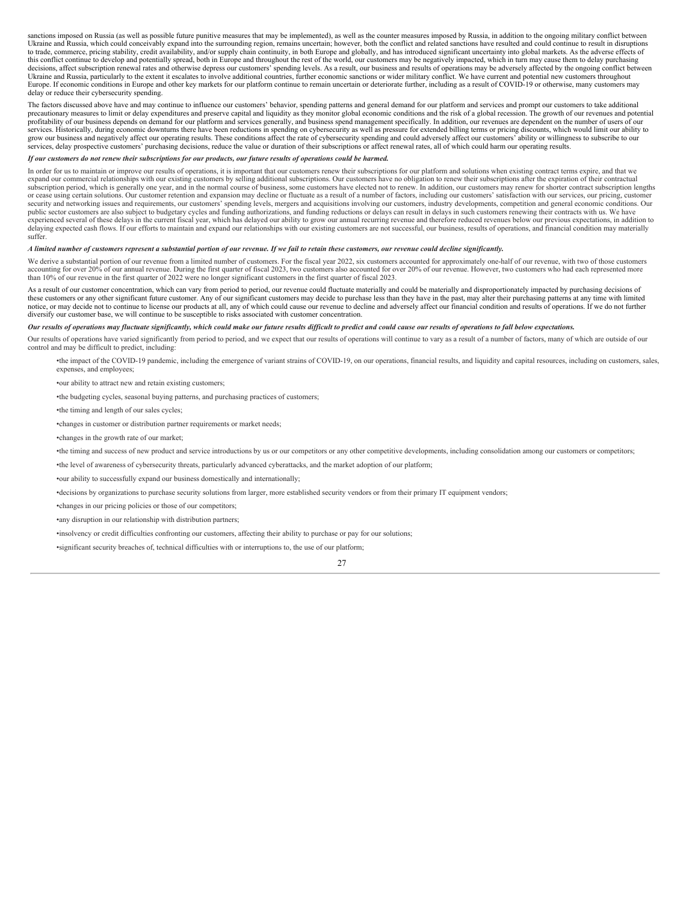sanctions imposed on Russia (as well as possible future punitive measures that may be implemented), as well as the counter measures imposed by Russia, in addition to the ongoing military conflict between Ukraine and Russia, which could conceivably expand into the surrounding region, remains uncertain; however, both the conflict and related sanctions have resulted and could continue to result in disruptions to trade, commerce, pricing stability, credit availability, and/or supply chain continuity, in both Europe and globally, and has introduced significant uncertainty into global markets. As the adverse effects of<br>this confli decisions, affect subscription renewal rates and otherwise depress our customers' spending levels. As a result, our business and results of operations may be adversely affected by the ongoing conflict between<br>Ukraine and R Europe. If economic conditions in Europe and other key markets for our platform continue to remain uncertain or deteriorate further, including as a result of COVID-19 or otherwise, many customers may delay or reduce their cybersecurity spending.

The factors discussed above have and may continue to influence our customers' behavior, spending patterns and general demand for our platform and services and prompt our customers to take additional precautionary measures to limit or delay expenditures and preserve capital and liquidity as they monitor global economic conditions and the risk of a global recession. The growth of our revenues and potential profitability of our business depends on demand for our platform and services generally, and business spend management specifically. In addition, our revenues are dependent on the number of users of our<br>services. Historica grow our business and negatively affect our operating results. These conditions affect the rate of cybersecurity spending and could adversely affect our customers' ability or willingness to subscribe to our services, delay prospective customers' purchasing decisions, reduce the value or duration of their subscriptions or affect renewal rates, all of which could harm our operating results.

#### If our customers do not renew their subscriptions for our products, our future results of operations could be harmed.

In order for us to maintain or improve our results of operations, it is important that our customers renew their subscriptions for our platform and solutions when existing contract terms expire, and that we expand our commercial relationships with our existing customers by selling additional subscriptions. Our customers have no obligation to renew their subscriptions after the expiration of their contractual subscription period, which is generally one year, and in the normal course of business, some customers have elected not to renew. In addition, our customers may renew for shorter contract subscription lengths or cease using certain solutions. Our customer retention and expansion may decline or fluctuate as a result of a number of factors, including our customers' satisfaction with our services, our pricing, customer security and networking issues and requirements, our customers' spending levels, mergers and acquisitions involving our customers, industry developments, competition and general economic conditions. Our public sector customers are also subject to budgetary cycles and funding authorizations, and funding reductions or delays can result in delays in such customers renewing their contracts with us. We have<br>experienced several delaying expected cash flows. If our efforts to maintain and expand our relationships with our existing customers are not successful, our business, results of operations, and financial condition may materially suffer.

## A limited number of customers represent a substantial portion of our revenue. If we fail to retain these customers, our revenue could decline significantly.

We derive a substantial portion of our revenue from a limited number of customers. For the fiscal year 2022, six customers accounted for approximately one-half of our revenue, with two of those customers accounting for over 20% of our annual revenue. During the first quarter of fiscal 2023, two customers also accounted for over 20% of our revenue. However, two customers who had each represented more than 10% of our revenue in the first quarter of 2022 were no longer significant customers in the first quarter of fiscal 2023.

As a result of our customer concentration, which can vary from period to period, our revenue could fluctuate materially and could be materially and disproportionately impacted by purchasing decisions of these customers or any other significant future customer. Any of our significant customers may decide to purchase less than they have in the past, may alter their purchasing patterns at any time with limited notice, or may decide not to continue to license our products at all, any of which could cause our revenue to decline and adversely affect our financial condition and results of operations. If we do not further diversify our customer base, we will continue to be susceptible to risks associated with customer concentration.

## Our results of operations may fluctuate significantly, which could make our future results difficult to predict and could cause our results of operations to fall below expectations.

Our results of operations have varied significantly from period to period, and we expect that our results of operations will continue to vary as a result of a number of factors, many of which are outside of our control and may be difficult to predict, including:

- •the impact of the COVID-19 pandemic, including the emergence of variant strains of COVID-19, on our operations, financial results, and liquidity and capital resources, including on customers, sales, expenses, and employees;
- •our ability to attract new and retain existing customers;
- •the budgeting cycles, seasonal buying patterns, and purchasing practices of customers;
- •the timing and length of our sales cycles;
- •changes in customer or distribution partner requirements or market needs;
- •changes in the growth rate of our market;
- •the timing and success of new product and service introductions by us or our competitors or any other competitive developments, including consolidation among our customers or competitors;
- •the level of awareness of cybersecurity threats, particularly advanced cyberattacks, and the market adoption of our platform;
- •our ability to successfully expand our business domestically and internationally;
- •decisions by organizations to purchase security solutions from larger, more established security vendors or from their primary IT equipment vendors;
- •changes in our pricing policies or those of our competitors;
- •any disruption in our relationship with distribution partners;
- •insolvency or credit difficulties confronting our customers, affecting their ability to purchase or pay for our solutions;

•significant security breaches of, technical difficulties with or interruptions to, the use of our platform;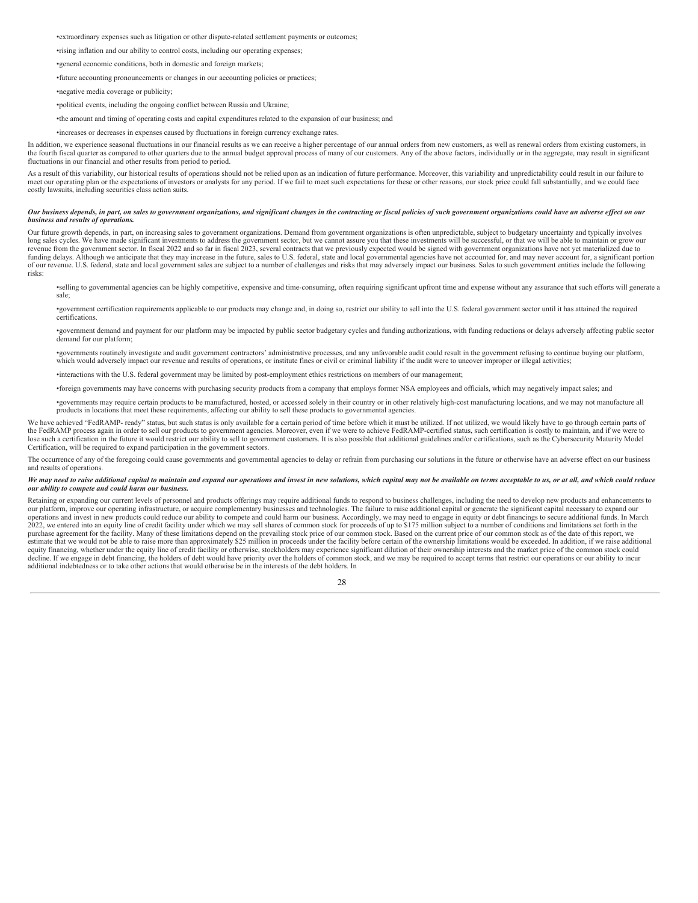•extraordinary expenses such as litigation or other dispute-related settlement payments or outcomes;

- •rising inflation and our ability to control costs, including our operating expenses;
- •general economic conditions, both in domestic and foreign markets;
- •future accounting pronouncements or changes in our accounting policies or practices;
- •negative media coverage or publicity;
- •political events, including the ongoing conflict between Russia and Ukraine;
- •the amount and timing of operating costs and capital expenditures related to the expansion of our business; and
- •increases or decreases in expenses caused by fluctuations in foreign currency exchange rates.

In addition, we experience seasonal fluctuations in our financial results as we can receive a higher percentage of our annual orders from new customers, as well as renewal orders from existing customers, in the fourth fiscal quarter as compared to other quarters due to the annual budget approval process of many of our customers. Any of the above factors, individually or in the aggregate, may result in significant fluctuations in our financial and other results from period to period.

As a result of this variability, our historical results of operations should not be relied upon as an indication of future performance. Moreover, this variability and unpredictability could result in our failure to meet our operating plan or the expectations of investors or analysts for any period. If we fail to meet such expectations for these or other reasons, our stock price could fall substantially, and we could face<br>costly lawsu

## Our business depends, in part, on sales to government organizations, and significant changes in the contracting or fiscal policies of such government organizations could have an adverse effect on our<br>business and results o

Our future growth depends, in part, on increasing sales to government organizations. Demand from government organizations is often unpredictable, subject to budgetary uncertainty and typically involves<br>long sales cycles. W revenue from the government sector. In fiscal 2022 and so far in fiscal 2023, several contracts that we previously expected would be signed with government organizations have not yet materialized due to funding delays. Although we anticipate that they may increase in the future, sales to U.S. federal, state and local governmental agencies have not accounted for, and may never account for, a significant portion of our revenue. U.S. federal, state and local government sales are subject to a number of challenges and risks that may adversely impact our business. Sales to such government entities include the following risks:

•selling to governmental agencies can be highly competitive, expensive and time-consuming, often requiring significant upfront time and expense without any assurance that such efforts will generate a sale;

•government certification requirements applicable to our products may change and, in doing so, restrict our ability to sell into the U.S. federal government sector until it has attained the required certifications.

- •government demand and payment for our platform may be impacted by public sector budgetary cycles and funding authorizations, with funding reductions or delays adversely affecting public sector demand for our platform;
- •governments routinely investigate and audit government contractors' administrative processes, and any unfavorable audit could result in the government refusing to continue buying our platform, which would adversely impact
- •interactions with the U.S. federal government may be limited by post-employment ethics restrictions on members of our management;

•foreign governments may have concerns with purchasing security products from a company that employs former NSA employees and officials, which may negatively impact sales; and

•governments may require certain products to be manufactured, hosted, or accessed solely in their country or in other relatively high-cost manufacturing locations, and we may not manufacture all products in locations that meet these requirements, affecting our ability to sell these products to governmental agencies.

We have achieved "FedRAMP- ready" status, but such status is only available for a certain period of time before which it must be utilized. If not utilized, we would likely have to go through certain parts of the FedRAMP process again in order to sell our products to government agencies. Moreover, even if we were to achieve FedRAMP-certified status, such certification is costly to maintain, and if we were to lose such a certification in the future it would restrict our ability to sell to government customers. It is also possible that additional guidelines and/or certifications, such as the Cybersecurity Maturity Model Certification, will be required to expand participation in the government sectors.

The occurrence of any of the foregoing could cause governments and governmental agencies to delay or refrain from purchasing our solutions in the future or otherwise have an adverse effect on our business and results of operations.

#### We may need to raise additional capital to maintain and expand our operations and invest in new solutions, which capital may not be available on terms acceptable to us, or at all, and which could reduce *our ability to compete and could harm our business.*

Retaining or expanding our current levels of personnel and products offerings may require additional funds to respond to business challenges, including the need to develop new products and enhancements to our platform, improve our operating infrastructure, or acquire complementary businesses and technologies. The failure to raise additional capital or generate the significant capital necessary to expand our operations and invest in new products could reduce our ability to compete and could harm our business. Accordingly, we may need to engage in equity or debt financings to secure additional funds. In March 2022, we entered into an equity line of credit facility under which we may sell shares of common stock for proceeds of up to \$175 million subject to a number of conditions and limitations set forth in the purchase agreemen equity financing, whether under the equity line of credit facility or otherwise, stockholders may experience significant dilution of their ownership interests and the market price of the common stock could decline. If we engage in debt financing, the holders of debt would have priority over the holders of common stock, and we may be required to accept terms that restrict our operations or our ability to incur<br>additional inde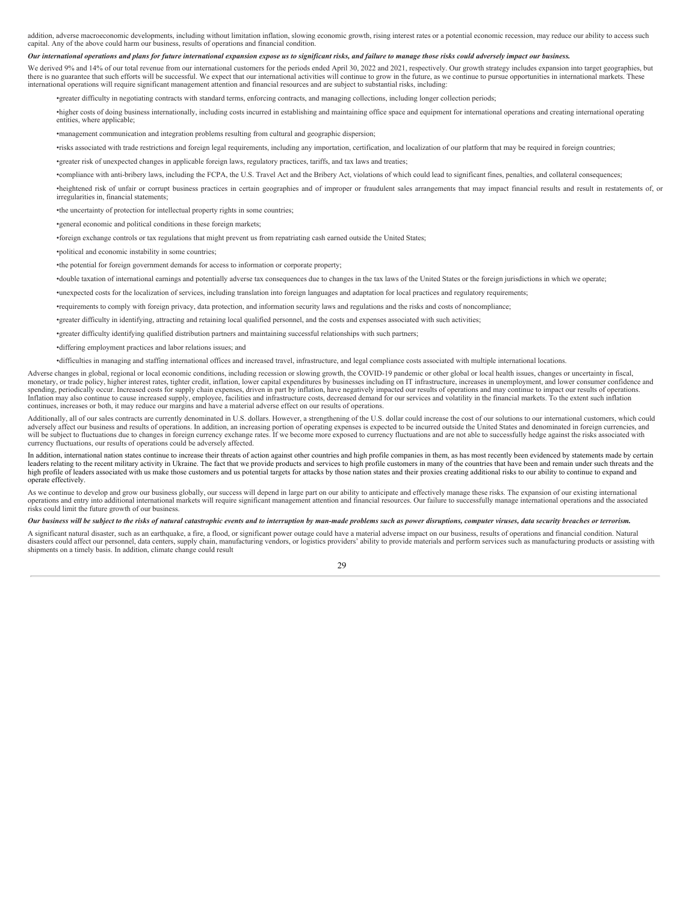addition, adverse macroeconomic developments, including without limitation inflation, slowing economic growth, rising interest rates or a potential economic recession, may reduce our ability to access such capital. Any of the above could harm our business, results of operations and financial condition.

#### Our international operations and plans for future international expansion expose us to significant risks, and failure to manage those risks could adversely impact our business.

We derived 9% and 14% of our total revenue from our international customers for the periods ended April 30, 2022 and 2021, respectively. Our growth strategy includes expansion into target geographies, but<br>there is no guara international operations will require significant management attention and financial resources and are subject to substantial risks, including:

•greater difficulty in negotiating contracts with standard terms, enforcing contracts, and managing collections, including longer collection periods;

•higher costs of doing business internationally, including costs incurred in establishing and maintaining office space and equipment for international operations and creating international operations entities, where applicable;

•management communication and integration problems resulting from cultural and geographic dispersion;

•risks associated with trade restrictions and foreign legal requirements, including any importation, certification, and localization of our platform that may be required in foreign countries;

•greater risk of unexpected changes in applicable foreign laws, regulatory practices, tariffs, and tax laws and treaties;

•compliance with anti-bribery laws, including the FCPA, the U.S. Travel Act and the Bribery Act, violations of which could lead to significant fines, penalties, and collateral consequences;

•heightened risk of unfair or corrupt business practices in certain geographies and of improper or fraudulent sales arrangements that may impact financial results and result in restatements of, or irregularities in, financial statements;

•the uncertainty of protection for intellectual property rights in some countries;

•general economic and political conditions in these foreign markets;

•foreign exchange controls or tax regulations that might prevent us from repatriating cash earned outside the United States;

•political and economic instability in some countries;

•the potential for foreign government demands for access to information or corporate property;

•double taxation of international earnings and potentially adverse tax consequences due to changes in the tax laws of the United States or the foreign jurisdictions in which we operate;

•unexpected costs for the localization of services, including translation into foreign languages and adaptation for local practices and regulatory requirements;

•requirements to comply with foreign privacy, data protection, and information security laws and regulations and the risks and costs of noncompliance;

•greater difficulty in identifying, attracting and retaining local qualified personnel, and the costs and expenses associated with such activities;

•greater difficulty identifying qualified distribution partners and maintaining successful relationships with such partners;

•differing employment practices and labor relations issues; and

•difficulties in managing and staffing international offices and increased travel, infrastructure, and legal compliance costs associated with multiple international locations.

Adverse changes in global, regional or local economic conditions, including recession or slowing growth, the COVID-19 pandemic or other global or local health issues, changes or uncertainty in fiscal, monetary, or trade policy, higher interest rates, tighter credit, inflation, lower capital expenditures by businesses including on IT infrastructure, increases in unemployment, and lower consumer confidence and spending, periodically occur. Increased costs for supply chain expenses, driven in part by inflation, have negatively impacted our results of operations and may continue to impact our results of operations.<br>Inflation may a continues, increases or both, it may reduce our margins and have a material adverse effect on our results of operations.

Additionally, all of our sales contracts are currently denominated in U.S. dollars. However, a strengthening of the U.S. dollar could increase the cost of our solutions to our international customers, which could adversely affect our business and results of operations. In addition, an increasing portion of operating expenses is expected to be incurred outside the United States and denominated in foreign currencies, and will be subject to fluctuations due to changes in foreign currency exchange rates. If we become more exposed to currency fluctuations and are not able to successfully hedge against the risks associated with currency fluctu

In addition, international nation states continue to increase their threats of action against other countries and high profile companies in them, as has most recently been evidenced by statements made by certain<br>leaders re high profile of leaders associated with us make those customers and us potential targets for attacks by those nation states and their proxies creating additional risks to our ability to continue to expand and operate effectively.

As we continue to develop and grow our business globally, our success will depend in large part on our ability to anticipate and effectively manage these risks. The expansion of our existing international operations and entry into additional international markets will require significant management attention and financial resources. Our failure to successfully manage international operations and the associated risks could limit the future growth of our business.

Our business will be subject to the risks of natural catastrophic events and to interruption by man-made problems such as power disruptions, computer viruses, data security breaches or terrorism.

A significant natural disaster, such as an earthquake, a fire, a flood, or significant power outage could have a material adverse impact on our business, results of operations and financial condition. Natural disasters could affect our personnel, data centers, supply chain, manufacturing vendors, or logistics providers' ability to provide materials and perform services such as manufacturing products or assisting with shipments on a timely basis. In addition, climate change could result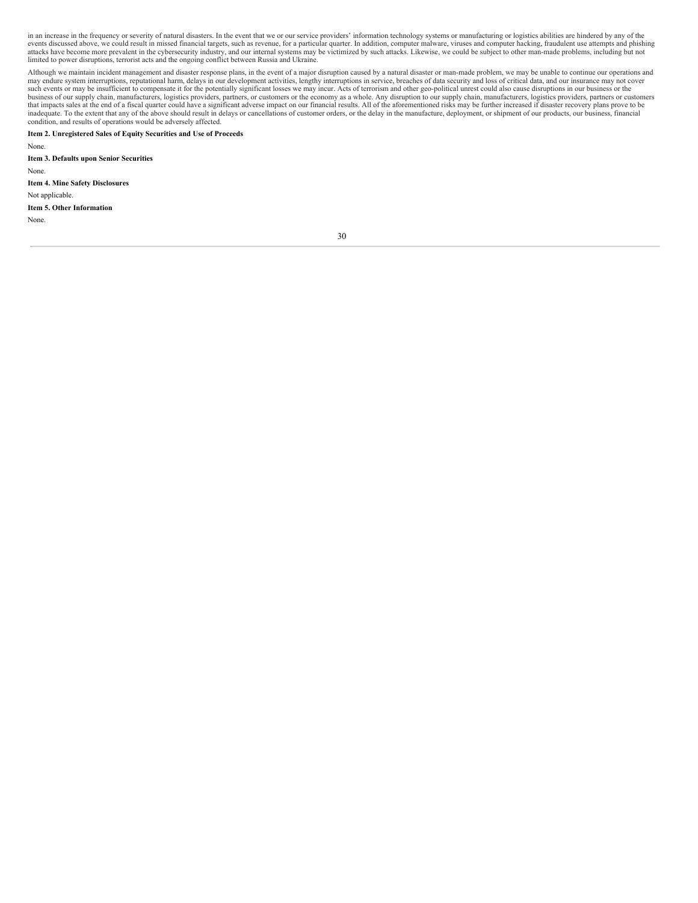in an increase in the frequency or severity of natural disasters. In the event that we or our service providers' information technology systems or manufacturing or logistics abilities are hindered by any of the events discussed above, we could result in missed financial targets, such as revenue, for a particular quarter. In addition, computer malware, viruses and computer hacking, fraudulent use attempts and phishing<br>attacks have limited to power disruptions, terrorist acts and the ongoing conflict between Russia and Ukraine.

Although we maintain incident management and disaster response plans, in the event of a major disruption caused by a natural disaster or man-made problem, we may be unable to continue our operations and may endure system interruptions, reputational harm, delays in our development activities, lengthy interruptions in service, breaches of data security and loss of critical data, and our insurance may not cover such events or may be insufficient to compensate it for the potentially significant losses we may incur. Acts of terrorism and other geo-political unrest could also cause disruptions in our business or the business or the that impacts sales at the end of a fiscal quarter could have a significant adverse impact on our financial results. All of the aforementioned risks may be further increased if disaster recovery plans prove to be inadequate. To the extent that any of the above should result in delays or cancellations of customer orders, or the delay in the manufacture, deployment, or shipment of our products, our business, financial condition, and

## <span id="page-30-0"></span>**Item 2. Unregistered Sales of Equity Securities and Use of Proceeds**

None.

<span id="page-30-1"></span>**Item 3. Defaults upon Senior Securities**

None.

<span id="page-30-2"></span>**Item 4. Mine Safety Disclosures**

Not applicable.

<span id="page-30-3"></span>**Item 5. Other Information** None.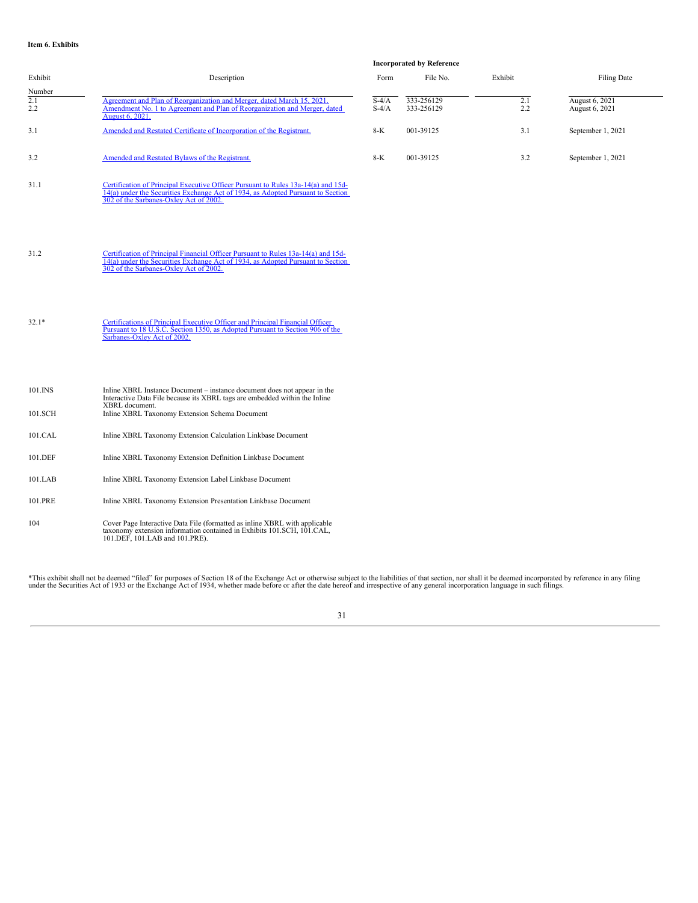## <span id="page-31-0"></span>**Item 6. Exhibits**

|                      |                                                                                                                                                                                                                            | <b>Incorporated by Reference</b> |                          |            |                                  |  |  |
|----------------------|----------------------------------------------------------------------------------------------------------------------------------------------------------------------------------------------------------------------------|----------------------------------|--------------------------|------------|----------------------------------|--|--|
| Exhibit              | Description                                                                                                                                                                                                                | Form                             | File No.                 | Exhibit    | <b>Filing Date</b>               |  |  |
| Number<br>2.1<br>2.2 | Agreement and Plan of Reorganization and Merger, dated March 15, 2021.<br>Amendment No. 1 to Agreement and Plan of Reorganization and Merger, dated<br>August 6, 2021.                                                     | $S-4/A$<br>$S-4/A$               | 333-256129<br>333-256129 | 2.1<br>2.2 | August 6, 2021<br>August 6, 2021 |  |  |
| 3.1                  | Amended and Restated Certificate of Incorporation of the Registrant.                                                                                                                                                       | $8-K$                            | 001-39125                | 3.1        | September 1, 2021                |  |  |
| 3.2                  | Amended and Restated Bylaws of the Registrant.                                                                                                                                                                             | $8-K$                            | 001-39125                | 3.2        | September 1, 2021                |  |  |
| 31.1                 | Certification of Principal Executive Officer Pursuant to Rules 13a-14(a) and 15d-<br>14(a) under the Securities Exchange Act of 1934, as Adopted Pursuant to Section<br>302 of the Sarbanes-Oxley Act of 2002.             |                                  |                          |            |                                  |  |  |
| 31.2                 | Certification of Principal Financial Officer Pursuant to Rules 13a-14(a) and 15d-<br>14(a) under the Securities Exchange Act of 1934, as Adopted Pursuant to Section<br>302 of the Sarbanes-Oxley Act of 2002.             |                                  |                          |            |                                  |  |  |
| $32.1*$              | Certifications of Principal Executive Officer and Principal Financial Officer<br>Pursuant to 18 U.S.C. Section 1350, as Adopted Pursuant to Section 906 of the<br>Sarbanes-Oxley Act of 2002.                              |                                  |                          |            |                                  |  |  |
| 101.INS<br>101.SCH   | Inline XBRL Instance Document – instance document does not appear in the<br>Interactive Data File because its XBRL tags are embedded within the Inline<br>XBRL document.<br>Inline XBRL Taxonomy Extension Schema Document |                                  |                          |            |                                  |  |  |
| 101.CAL              | Inline XBRL Taxonomy Extension Calculation Linkbase Document                                                                                                                                                               |                                  |                          |            |                                  |  |  |
| 101.DEF              | Inline XBRL Taxonomy Extension Definition Linkbase Document                                                                                                                                                                |                                  |                          |            |                                  |  |  |

101.LAB Inline XBRL Taxonomy Extension Label Linkbase Document

- 101.PRE Inline XBRL Taxonomy Extension Presentation Linkbase Document
- 104 Cover Page Interactive Data File (formatted as inline XBRL with applicable taxonomy extension information contained in Exhibits 101.SCH, 101.CAL, 101.DEF, 101.LAB and 101.PRE).

\*This exhibit shall not be deemed "filed" for purposes of Section 18 of the Exchange Act or otherwise subject to the liabilities of that section, nor shall it be deemed incorporated by reference in any filing under the Sec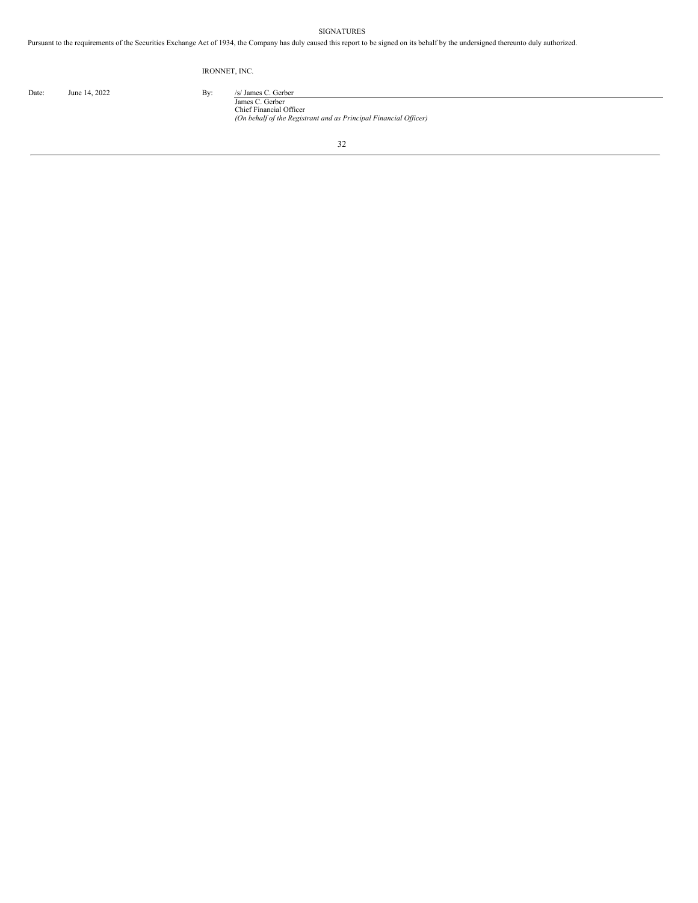## SIGNATURES

<span id="page-32-0"></span>Pursuant to the requirements of the Securities Exchange Act of 1934, the Company has duly caused this report to be signed on its behalf by the undersigned thereunto duly authorized.

Date: June 14, 2022<br>
James C. Gerber<br>
Chief Financial Officer<br>
Chief Financial Officer<br>
Chief Alexandr of the Registrant and as Principal Financial Officer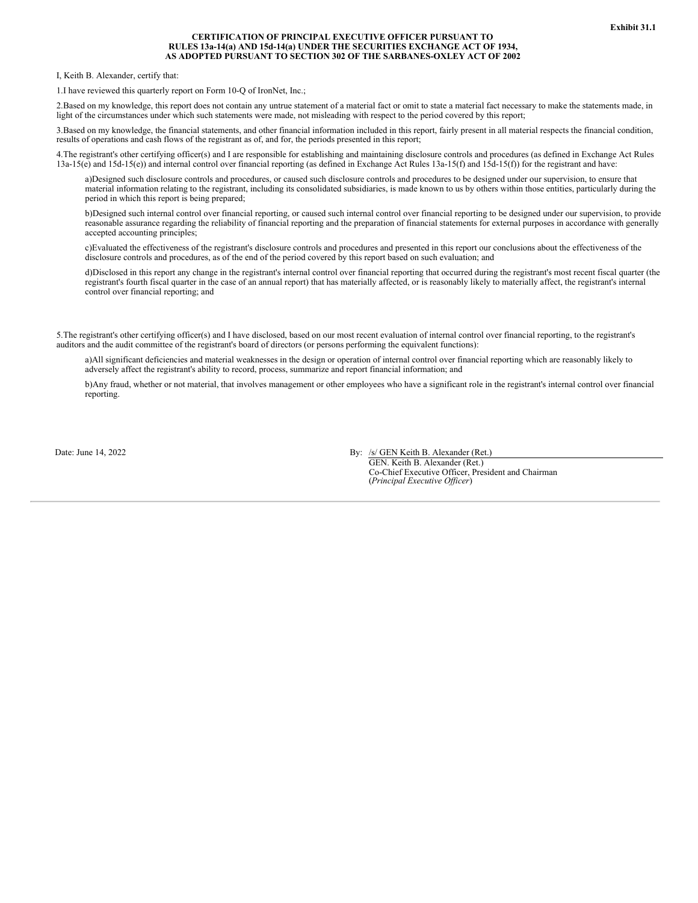## **CERTIFICATION OF PRINCIPAL EXECUTIVE OFFICER PURSUANT TO RULES 13a-14(a) AND 15d-14(a) UNDER THE SECURITIES EXCHANGE ACT OF 1934, AS ADOPTED PURSUANT TO SECTION 302 OF THE SARBANES-OXLEY ACT OF 2002**

<span id="page-34-0"></span>I, Keith B. Alexander, certify that:

1.I have reviewed this quarterly report on Form 10-Q of IronNet, Inc.;

2.Based on my knowledge, this report does not contain any untrue statement of a material fact or omit to state a material fact necessary to make the statements made, in light of the circumstances under which such statements were made, not misleading with respect to the period covered by this report;

3.Based on my knowledge, the financial statements, and other financial information included in this report, fairly present in all material respects the financial condition, results of operations and cash flows of the registrant as of, and for, the periods presented in this report;

4.The registrant's other certifying officer(s) and I are responsible for establishing and maintaining disclosure controls and procedures (as defined in Exchange Act Rules 13a-15(e) and 15d-15(e)) and internal control over financial reporting (as defined in Exchange Act Rules 13a-15(f) and 15d-15(f)) for the registrant and have:

a)Designed such disclosure controls and procedures, or caused such disclosure controls and procedures to be designed under our supervision, to ensure that material information relating to the registrant, including its consolidated subsidiaries, is made known to us by others within those entities, particularly during the period in which this report is being prepared;

b)Designed such internal control over financial reporting, or caused such internal control over financial reporting to be designed under our supervision, to provide reasonable assurance regarding the reliability of financial reporting and the preparation of financial statements for external purposes in accordance with generally accepted accounting principles;

c)Evaluated the effectiveness of the registrant's disclosure controls and procedures and presented in this report our conclusions about the effectiveness of the disclosure controls and procedures, as of the end of the period covered by this report based on such evaluation; and

d)Disclosed in this report any change in the registrant's internal control over financial reporting that occurred during the registrant's most recent fiscal quarter (the registrant's fourth fiscal quarter in the case of an annual report) that has materially affected, or is reasonably likely to materially affect, the registrant's internal control over financial reporting; and

5.The registrant's other certifying officer(s) and I have disclosed, based on our most recent evaluation of internal control over financial reporting, to the registrant's auditors and the audit committee of the registrant's board of directors (or persons performing the equivalent functions):

a)All significant deficiencies and material weaknesses in the design or operation of internal control over financial reporting which are reasonably likely to adversely affect the registrant's ability to record, process, summarize and report financial information; and

b)Any fraud, whether or not material, that involves management or other employees who have a significant role in the registrant's internal control over financial reporting.

Date: June 14, 2022 By: /s/ GEN Keith B. Alexander (Ret.) GEN. Keith B. Alexander (Ret.) Co-Chief Executive Officer, President and Chairman (*Principal Executive Of icer*)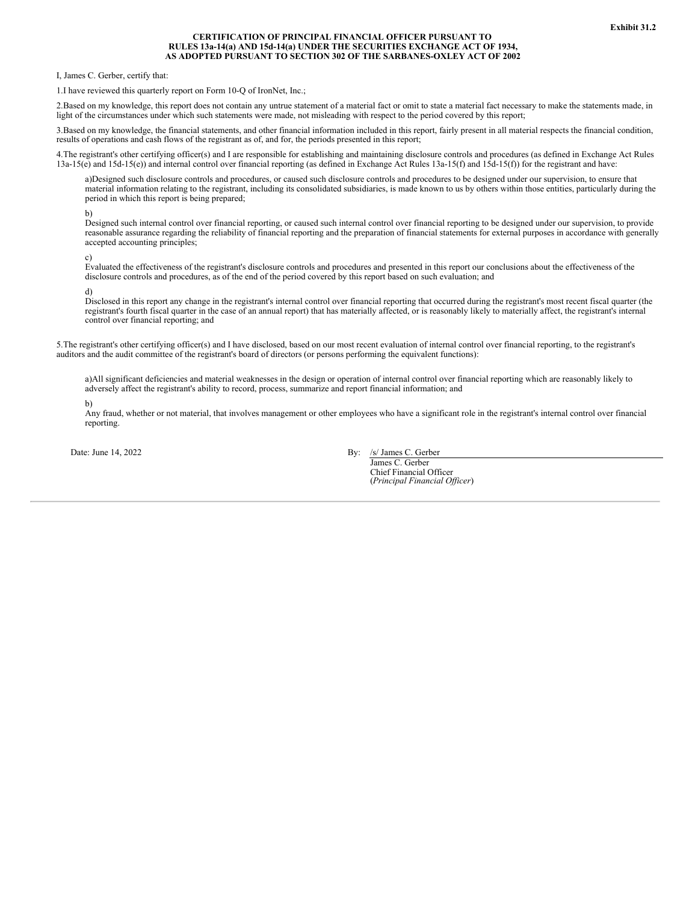## **CERTIFICATION OF PRINCIPAL FINANCIAL OFFICER PURSUANT TO RULES 13a-14(a) AND 15d-14(a) UNDER THE SECURITIES EXCHANGE ACT OF 1934, AS ADOPTED PURSUANT TO SECTION 302 OF THE SARBANES-OXLEY ACT OF 2002**

<span id="page-36-0"></span>I, James C. Gerber, certify that:

1.I have reviewed this quarterly report on Form 10-Q of IronNet, Inc.;

2.Based on my knowledge, this report does not contain any untrue statement of a material fact or omit to state a material fact necessary to make the statements made, in light of the circumstances under which such statements were made, not misleading with respect to the period covered by this report;

3.Based on my knowledge, the financial statements, and other financial information included in this report, fairly present in all material respects the financial condition, results of operations and cash flows of the registrant as of, and for, the periods presented in this report;

4.The registrant's other certifying officer(s) and I are responsible for establishing and maintaining disclosure controls and procedures (as defined in Exchange Act Rules 13a-15(e) and 15d-15(e)) and internal control over financial reporting (as defined in Exchange Act Rules 13a-15(f) and 15d-15(f)) for the registrant and have:

a)Designed such disclosure controls and procedures, or caused such disclosure controls and procedures to be designed under our supervision, to ensure that material information relating to the registrant, including its consolidated subsidiaries, is made known to us by others within those entities, particularly during the period in which this report is being prepared;

b)

Designed such internal control over financial reporting, or caused such internal control over financial reporting to be designed under our supervision, to provide reasonable assurance regarding the reliability of financial reporting and the preparation of financial statements for external purposes in accordance with generally accepted accounting principles;

c)

Evaluated the effectiveness of the registrant's disclosure controls and procedures and presented in this report our conclusions about the effectiveness of the disclosure controls and procedures, as of the end of the period covered by this report based on such evaluation; and

d)

Disclosed in this report any change in the registrant's internal control over financial reporting that occurred during the registrant's most recent fiscal quarter (the registrant's fourth fiscal quarter in the case of an annual report) that has materially affected, or is reasonably likely to materially affect, the registrant's internal control over financial reporting; and

5.The registrant's other certifying officer(s) and I have disclosed, based on our most recent evaluation of internal control over financial reporting, to the registrant's auditors and the audit committee of the registrant's board of directors (or persons performing the equivalent functions):

a)All significant deficiencies and material weaknesses in the design or operation of internal control over financial reporting which are reasonably likely to adversely affect the registrant's ability to record, process, summarize and report financial information; and

b)

Any fraud, whether or not material, that involves management or other employees who have a significant role in the registrant's internal control over financial reporting.

Date: June 14, 2022 By: /s/ James C. Gerber

James C. Gerber Chief Financial Officer (*Principal Financial Of icer*)